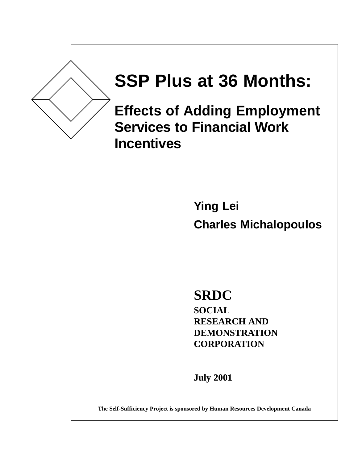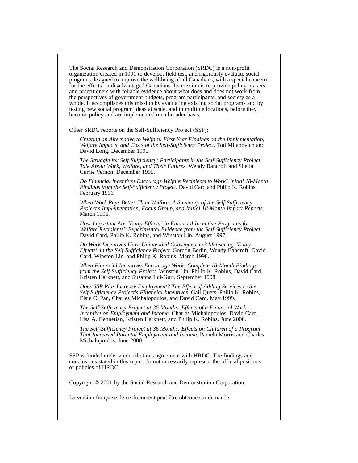The Social Research and Demonstration Corporation (SRDC) is a non-profit organization created in 1991 to develop, field test, and rigorously evaluate social programs designed to improve the well-being of all Canadians, with a special concern for the effects on disadvantaged Canadians. Its mission is to provide policy-makers and practitioners with reliable evidence about what does and does not work from the perspectives of government budgets, program participants, and society as a whole. It accomplishes this mission by evaluating existing social programs and by testing new social program ideas at scale, and in multiple locations, before they become policy and are implemented on a broader basis.

Other SRDC reports on the Self-Sufficiency Project (SSP):

*Creating an Alternative to Welfare: First-Year Findings on the Implementation, Welfare Impacts, and Costs of the Self-Sufficiency Project*. Tod Mijanovich and David Long. December 1995.

*The Struggle for Self-Sufficiency: Participants in the Self-Sufficiency Project Talk About Work, Welfare, and Their Futures*. Wendy Bancroft and Sheila Currie Vernon. December 1995.

*Do Financial Incentives Encourage Welfare Recipients to Work? Initial 18-Month Findings from the Self-Sufficiency Project*. David Card and Philip K. Robins. February 1996.

*When Work Pays Better Than Welfare: A Summary of the Self-Sufficiency Project's Implementation, Focus Group, and Initial 18-Month Impact Reports*. March 1996.

*How Important Are "Entry Effects" in Financial Incentive Programs for Welfare Recipients? Experimental Evidence from the Self-Sufficiency Project*. David Card, Philip K. Robins, and Winston Lin. August 1997.

*Do Work Incentives Have Unintended Consequences? Measuring "Entry Effects" in the Self-Sufficiency Project*. Gordon Berlin, Wendy Bancroft, David Card, Winston Lin, and Philip K. Robins. March 1998.

*When Financial Incentives Encourage Work: Complete 18-Month Findings from the Self-Sufficiency Project*. Winston Lin, Philip K. Robins, David Card, Kristen Harknett, and Susanna Lui-Gurr. September 1998.

*Does SSP Plus Increase Employment? The Effect of Adding Services to the Self-Sufficiency Project's Financial Incentives*. Gail Quets, Philip K. Robins, Elsie C. Pan, Charles Michalopoulos, and David Card. May 1999.

*The Self-Sufficiency Project at 36 Months: Effects of a Financial Work Incentive on Employment and Income*. Charles Michalopoulos, David Card, Lisa A. Gennetian, Kristen Harknett, and Philip K. Robins. June 2000.

*The Self-Sufficiency Project at 36 Months: Effects on Children of a Program That Increased Parental Employment and Income*. Pamela Morris and Charles Michalopoulos. June 2000.

SSP is funded under a contributions agreement with HRDC. The findings and conclusions stated in this report do not necessarily represent the official positions or policies of HRDC.

Copyright © 2001 by the Social Research and Demonstration Corporation.

La version française de ce document peut être obtenue sur demande.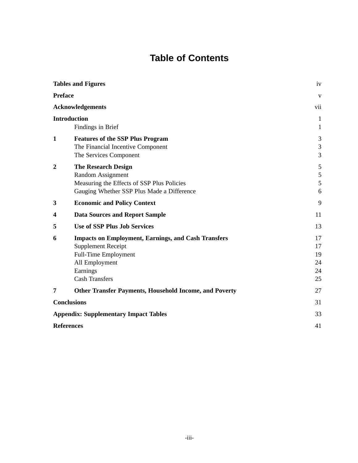# **Table of Contents**

|                  | <b>Tables and Figures</b>                                                                                                                                              | iv                                       |
|------------------|------------------------------------------------------------------------------------------------------------------------------------------------------------------------|------------------------------------------|
| <b>Preface</b>   |                                                                                                                                                                        | V                                        |
|                  | <b>Acknowledgements</b>                                                                                                                                                | vii                                      |
|                  | <b>Introduction</b><br>Findings in Brief                                                                                                                               | $\mathbf{1}$<br>$\mathbf{1}$             |
| $\mathbf{1}$     | <b>Features of the SSP Plus Program</b><br>The Financial Incentive Component<br>The Services Component                                                                 | 3<br>$\mathfrak{Z}$<br>3                 |
| $\boldsymbol{2}$ | <b>The Research Design</b><br>Random Assignment<br>Measuring the Effects of SSP Plus Policies<br>Gauging Whether SSP Plus Made a Difference                            | $\mathfrak s$<br>$\mathfrak s$<br>5<br>6 |
| 3                | <b>Economic and Policy Context</b>                                                                                                                                     | 9                                        |
| 4                | <b>Data Sources and Report Sample</b>                                                                                                                                  | 11                                       |
| 5                | <b>Use of SSP Plus Job Services</b>                                                                                                                                    | 13                                       |
| 6                | <b>Impacts on Employment, Earnings, and Cash Transfers</b><br><b>Supplement Receipt</b><br>Full-Time Employment<br>All Employment<br>Earnings<br><b>Cash Transfers</b> | 17<br>17<br>19<br>24<br>24<br>25         |
| 7                | <b>Other Transfer Payments, Household Income, and Poverty</b>                                                                                                          | 27                                       |
|                  | <b>Conclusions</b>                                                                                                                                                     | 31                                       |
|                  | <b>Appendix: Supplementary Impact Tables</b>                                                                                                                           | 33                                       |
|                  | <b>References</b>                                                                                                                                                      | 41                                       |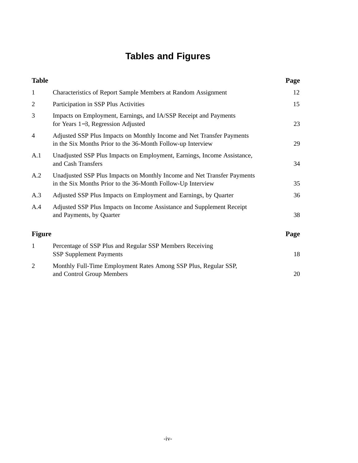# **Tables and Figures**

| <b>Table</b>   |                                                                                                                                        | Page |
|----------------|----------------------------------------------------------------------------------------------------------------------------------------|------|
| $\mathbf{1}$   | Characteristics of Report Sample Members at Random Assignment                                                                          | 12   |
| $\overline{c}$ | Participation in SSP Plus Activities                                                                                                   | 15   |
| 3              | Impacts on Employment, Earnings, and IA/SSP Receipt and Payments<br>for Years 1–3, Regression Adjusted                                 | 23   |
| $\overline{4}$ | Adjusted SSP Plus Impacts on Monthly Income and Net Transfer Payments<br>in the Six Months Prior to the 36-Month Follow-up Interview   | 29   |
| A.1            | Unadjusted SSP Plus Impacts on Employment, Earnings, Income Assistance,<br>and Cash Transfers                                          | 34   |
| A.2            | Unadjusted SSP Plus Impacts on Monthly Income and Net Transfer Payments<br>in the Six Months Prior to the 36-Month Follow-Up Interview | 35   |
| A.3            | Adjusted SSP Plus Impacts on Employment and Earnings, by Quarter                                                                       | 36   |
| A.4            | Adjusted SSP Plus Impacts on Income Assistance and Supplement Receipt<br>and Payments, by Quarter                                      | 38   |
| <b>Figure</b>  |                                                                                                                                        | Page |
| $\mathbf{1}$   | Percentage of SSP Plus and Regular SSP Members Receiving<br><b>SSP Supplement Payments</b>                                             | 18   |
| $\overline{2}$ | Monthly Full-Time Employment Rates Among SSP Plus, Regular SSP,<br>and Control Group Members                                           | 20   |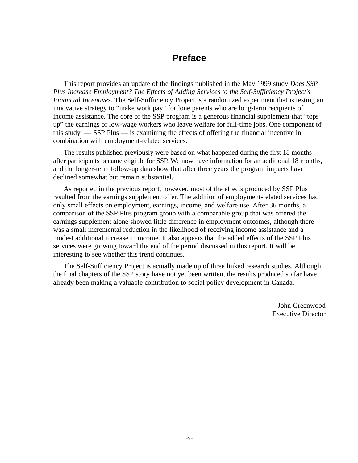## **Preface**

This report provides an update of the findings published in the May 1999 study *Does SSP Plus Increase Employment? The Effects of Adding Services to the Self-Sufficiency Project's Financial Incentives*. The Self-Sufficiency Project is a randomized experiment that is testing an innovative strategy to "make work pay" for lone parents who are long-term recipients of income assistance. The core of the SSP program is a generous financial supplement that "tops up" the earnings of low-wage workers who leave welfare for full-time jobs. One component of this study — SSP Plus — is examining the effects of offering the financial incentive in combination with employment-related services.

The results published previously were based on what happened during the first 18 months after participants became eligible for SSP. We now have information for an additional 18 months, and the longer-term follow-up data show that after three years the program impacts have declined somewhat but remain substantial.

As reported in the previous report, however, most of the effects produced by SSP Plus resulted from the earnings supplement offer. The addition of employment-related services had only small effects on employment, earnings, income, and welfare use. After 36 months, a comparison of the SSP Plus program group with a comparable group that was offered the earnings supplement alone showed little difference in employment outcomes, although there was a small incremental reduction in the likelihood of receiving income assistance and a modest additional increase in income. It also appears that the added effects of the SSP Plus services were growing toward the end of the period discussed in this report. It will be interesting to see whether this trend continues.

The Self-Sufficiency Project is actually made up of three linked research studies. Although the final chapters of the SSP story have not yet been written, the results produced so far have already been making a valuable contribution to social policy development in Canada.

> John Greenwood Executive Director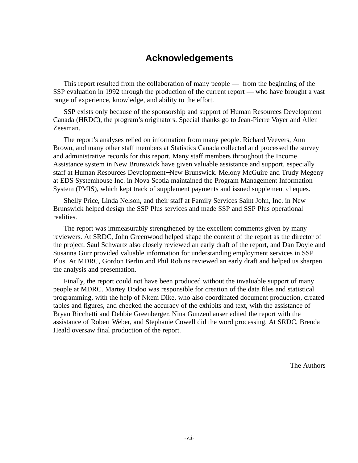# **Acknowledgements**

This report resulted from the collaboration of many people — from the beginning of the SSP evaluation in 1992 through the production of the current report — who have brought a vast range of experience, knowledge, and ability to the effort.

SSP exists only because of the sponsorship and support of Human Resources Development Canada (HRDC), the program's originators. Special thanks go to Jean-Pierre Voyer and Allen Zeesman.

The report's analyses relied on information from many people. Richard Veevers, Ann Brown, and many other staff members at Statistics Canada collected and processed the survey and administrative records for this report. Many staff members throughout the Income Assistance system in New Brunswick have given valuable assistance and support, especially staff at Human Resources Development−New Brunswick. Melony McGuire and Trudy Megeny at EDS Systemhouse Inc. in Nova Scotia maintained the Program Management Information System (PMIS), which kept track of supplement payments and issued supplement cheques.

Shelly Price, Linda Nelson, and their staff at Family Services Saint John, Inc. in New Brunswick helped design the SSP Plus services and made SSP and SSP Plus operational realities.

The report was immeasurably strengthened by the excellent comments given by many reviewers. At SRDC, John Greenwood helped shape the content of the report as the director of the project. Saul Schwartz also closely reviewed an early draft of the report, and Dan Doyle and Susanna Gurr provided valuable information for understanding employment services in SSP Plus. At MDRC, Gordon Berlin and Phil Robins reviewed an early draft and helped us sharpen the analysis and presentation.

Finally, the report could not have been produced without the invaluable support of many people at MDRC. Martey Dodoo was responsible for creation of the data files and statistical programming, with the help of Nkem Dike, who also coordinated document production, created tables and figures, and checked the accuracy of the exhibits and text, with the assistance of Bryan Ricchetti and Debbie Greenberger. Nina Gunzenhauser edited the report with the assistance of Robert Weber, and Stephanie Cowell did the word processing. At SRDC, Brenda Heald oversaw final production of the report.

The Authors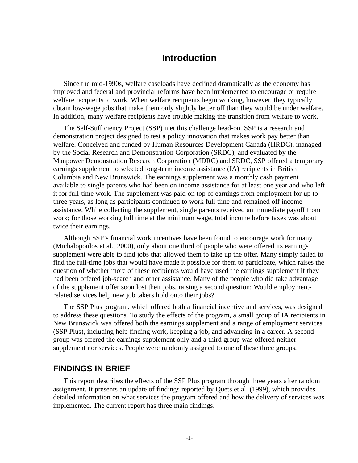## **Introduction**

Since the mid-1990s, welfare caseloads have declined dramatically as the economy has improved and federal and provincial reforms have been implemented to encourage or require welfare recipients to work. When welfare recipients begin working, however, they typically obtain low-wage jobs that make them only slightly better off than they would be under welfare. In addition, many welfare recipients have trouble making the transition from welfare to work.

The Self-Sufficiency Project (SSP) met this challenge head-on. SSP is a research and demonstration project designed to test a policy innovation that makes work pay better than welfare. Conceived and funded by Human Resources Development Canada (HRDC), managed by the Social Research and Demonstration Corporation (SRDC), and evaluated by the Manpower Demonstration Research Corporation (MDRC) and SRDC, SSP offered a temporary earnings supplement to selected long-term income assistance (IA) recipients in British Columbia and New Brunswick. The earnings supplement was a monthly cash payment available to single parents who had been on income assistance for at least one year and who left it for full-time work. The supplement was paid on top of earnings from employment for up to three years, as long as participants continued to work full time and remained off income assistance. While collecting the supplement, single parents received an immediate payoff from work; for those working full time at the minimum wage, total income before taxes was about twice their earnings.

Although SSP's financial work incentives have been found to encourage work for many (Michalopoulos et al., 2000), only about one third of people who were offered its earnings supplement were able to find jobs that allowed them to take up the offer. Many simply failed to find the full-time jobs that would have made it possible for them to participate, which raises the question of whether more of these recipients would have used the earnings supplement if they had been offered job-search and other assistance. Many of the people who did take advantage of the supplement offer soon lost their jobs, raising a second question: Would employmentrelated services help new job takers hold onto their jobs?

The SSP Plus program, which offered both a financial incentive and services, was designed to address these questions. To study the effects of the program, a small group of IA recipients in New Brunswick was offered both the earnings supplement and a range of employment services (SSP Plus), including help finding work, keeping a job, and advancing in a career. A second group was offered the earnings supplement only and a third group was offered neither supplement nor services. People were randomly assigned to one of these three groups.

### **FINDINGS IN BRIEF**

This report describes the effects of the SSP Plus program through three years after random assignment. It presents an update of findings reported by Quets et al. (1999), which provides detailed information on what services the program offered and how the delivery of services was implemented. The current report has three main findings.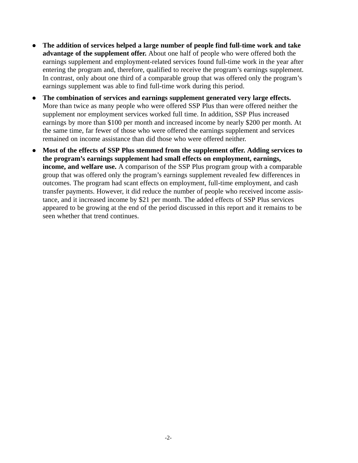- **The addition of services helped a large number of people find full-time work and take advantage of the supplement offer.** About one half of people who were offered both the earnings supplement and employment-related services found full-time work in the year after entering the program and, therefore, qualified to receive the program's earnings supplement. In contrast, only about one third of a comparable group that was offered only the program's earnings supplement was able to find full-time work during this period.
- **The combination of services and earnings supplement generated very large effects.** More than twice as many people who were offered SSP Plus than were offered neither the supplement nor employment services worked full time. In addition, SSP Plus increased earnings by more than \$100 per month and increased income by nearly \$200 per month. At the same time, far fewer of those who were offered the earnings supplement and services remained on income assistance than did those who were offered neither.
- **Most of the effects of SSP Plus stemmed from the supplement offer. Adding services to the program's earnings supplement had small effects on employment, earnings, income, and welfare use.** A comparison of the SSP Plus program group with a comparable group that was offered only the program's earnings supplement revealed few differences in outcomes. The program had scant effects on employment, full-time employment, and cash transfer payments. However, it did reduce the number of people who received income assistance, and it increased income by \$21 per month. The added effects of SSP Plus services appeared to be growing at the end of the period discussed in this report and it remains to be seen whether that trend continues.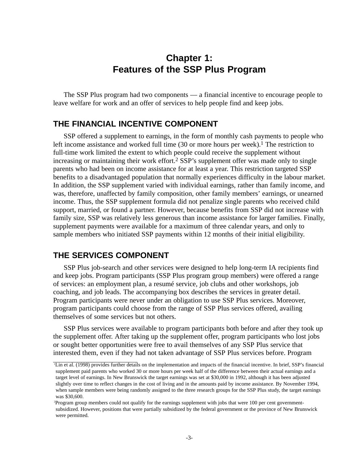# **Chapter 1: Features of the SSP Plus Program**

The SSP Plus program had two components — a financial incentive to encourage people to leave welfare for work and an offer of services to help people find and keep jobs.

#### **THE FINANCIAL INCENTIVE COMPONENT**

SSP offered a supplement to earnings, in the form of monthly cash payments to people who left income assistance and worked full time  $(30 \text{ or more hours per week})$ .<sup>1</sup> The restriction to full-time work limited the extent to which people could receive the supplement without increasing or maintaining their work effort.<sup>2</sup> SSP's supplement offer was made only to single parents who had been on income assistance for at least a year. This restriction targeted SSP benefits to a disadvantaged population that normally experiences difficulty in the labour market. In addition, the SSP supplement varied with individual earnings, rather than family income, and was, therefore, unaffected by family composition, other family members' earnings, or unearned income. Thus, the SSP supplement formula did not penalize single parents who received child support, married, or found a partner. However, because benefits from SSP did not increase with family size, SSP was relatively less generous than income assistance for larger families. Finally, supplement payments were available for a maximum of three calendar years, and only to sample members who initiated SSP payments within 12 months of their initial eligibility.

#### **THE SERVICES COMPONENT**

SSP Plus job-search and other services were designed to help long-term IA recipients find and keep jobs. Program participants (SSP Plus program group members) were offered a range of services: an employment plan, a resumé service, job clubs and other workshops, job coaching, and job leads. The accompanying box describes the services in greater detail. Program participants were never under an obligation to use SSP Plus services. Moreover, program participants could choose from the range of SSP Plus services offered, availing themselves of some services but not others.

SSP Plus services were available to program participants both before and after they took up the supplement offer. After taking up the supplement offer, program participants who lost jobs or sought better opportunities were free to avail themselves of any SSP Plus service that interested them, even if they had not taken advantage of SSP Plus services before. Program

<sup>1</sup> Lin et al. (1998) provides further details on the implementation and impacts of the financial incentive. In brief, SSP's financial supplement paid parents who worked 30 or more hours per week half of the difference between their actual earnings and a target level of earnings. In New Brunswick the target earnings was set at \$30,000 in 1992, although it has been adjusted slightly over time to reflect changes in the cost of living and in the amounts paid by income assistance. By November 1994, when sample members were being randomly assigned to the three research groups for the SSP Plus study, the target earnings was \$30,600.

<sup>2</sup> Program group members could not qualify for the earnings supplement with jobs that were 100 per cent governmentsubsidized. However, positions that were partially subsidized by the federal government or the province of New Brunswick were permitted.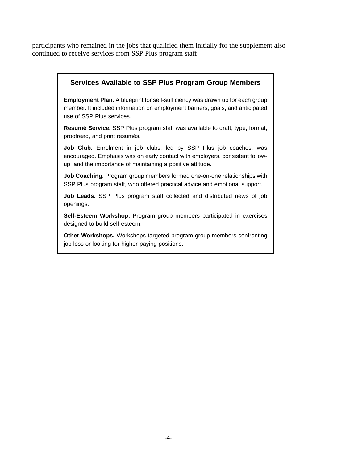participants who remained in the jobs that qualified them initially for the supplement also continued to receive services from SSP Plus program staff.

#### **Services Available to SSP Plus Program Group Members**

**Employment Plan.** A blueprint for self-sufficiency was drawn up for each group member. It included information on employment barriers, goals, and anticipated use of SSP Plus services.

**Resumé Service.** SSP Plus program staff was available to draft, type, format, proofread, and print resumés.

Job Club. Enrolment in job clubs, led by SSP Plus job coaches, was encouraged. Emphasis was on early contact with employers, consistent followup, and the importance of maintaining a positive attitude.

**Job Coaching.** Program group members formed one-on-one relationships with SSP Plus program staff, who offered practical advice and emotional support.

**Job Leads.** SSP Plus program staff collected and distributed news of job openings.

**Self-Esteem Workshop.** Program group members participated in exercises designed to build self-esteem.

**Other Workshops.** Workshops targeted program group members confronting job loss or looking for higher-paying positions.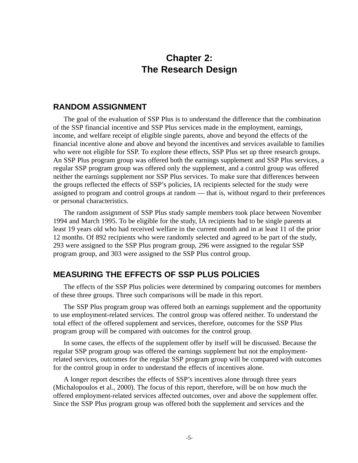# **Chapter 2: The Research Design**

#### **RANDOM ASSIGNMENT**

The goal of the evaluation of SSP Plus is to understand the difference that the combination of the SSP financial incentive and SSP Plus services made in the employment, earnings, income, and welfare receipt of eligible single parents, above and beyond the effects of the financial incentive alone and above and beyond the incentives and services available to families who were not eligible for SSP. To explore these effects, SSP Plus set up three research groups. An SSP Plus program group was offered both the earnings supplement and SSP Plus services, a regular SSP program group was offered only the supplement, and a control group was offered neither the earnings supplement nor SSP Plus services. To make sure that differences between the groups reflected the effects of SSP's policies, IA recipients selected for the study were assigned to program and control groups at random — that is, without regard to their preferences or personal characteristics.

The random assignment of SSP Plus study sample members took place between November 1994 and March 1995. To be eligible for the study, IA recipients had to be single parents at least 19 years old who had received welfare in the current month and in at least 11 of the prior 12 months. Of 892 recipients who were randomly selected and agreed to be part of the study, 293 were assigned to the SSP Plus program group, 296 were assigned to the regular SSP program group, and 303 were assigned to the SSP Plus control group.

### **MEASURING THE EFFECTS OF SSP PLUS POLICIES**

The effects of the SSP Plus policies were determined by comparing outcomes for members of these three groups. Three such comparisons will be made in this report.

The SSP Plus program group was offered both an earnings supplement and the opportunity to use employment-related services. The control group was offered neither. To understand the total effect of the offered supplement and services, therefore, outcomes for the SSP Plus program group will be compared with outcomes for the control group.

In some cases, the effects of the supplement offer by itself will be discussed. Because the regular SSP program group was offered the earnings supplement but not the employmentrelated services, outcomes for the regular SSP program group will be compared with outcomes for the control group in order to understand the effects of incentives alone.

A longer report describes the effects of SSP's incentives alone through three years (Michalopoulos et al., 2000). The focus of this report, therefore, will be on how much the offered employment-related services affected outcomes, over and above the supplement offer. Since the SSP Plus program group was offered both the supplement and services and the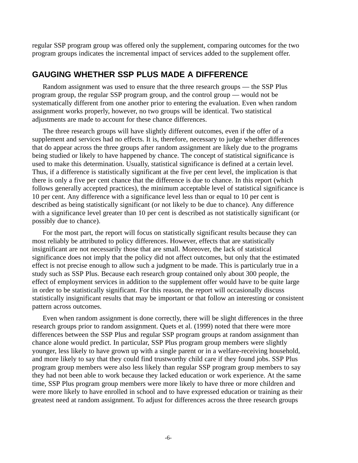regular SSP program group was offered only the supplement, comparing outcomes for the two program groups indicates the incremental impact of services added to the supplement offer.

### **GAUGING WHETHER SSP PLUS MADE A DIFFERENCE**

Random assignment was used to ensure that the three research groups — the SSP Plus program group, the regular SSP program group, and the control group — would not be systematically different from one another prior to entering the evaluation. Even when random assignment works properly, however, no two groups will be identical. Two statistical adjustments are made to account for these chance differences.

The three research groups will have slightly different outcomes, even if the offer of a supplement and services had no effects. It is, therefore, necessary to judge whether differences that do appear across the three groups after random assignment are likely due to the programs being studied or likely to have happened by chance. The concept of statistical significance is used to make this determination. Usually, statistical significance is defined at a certain level. Thus, if a difference is statistically significant at the five per cent level, the implication is that there is only a five per cent chance that the difference is due to chance. In this report (which follows generally accepted practices), the minimum acceptable level of statistical significance is 10 per cent. Any difference with a significance level less than or equal to 10 per cent is described as being statistically significant (or not likely to be due to chance). Any difference with a significance level greater than 10 per cent is described as not statistically significant (or possibly due to chance).

For the most part, the report will focus on statistically significant results because they can most reliably be attributed to policy differences. However, effects that are statistically insignificant are not necessarily those that are small. Moreover, the lack of statistical significance does not imply that the policy did not affect outcomes, but only that the estimated effect is not precise enough to allow such a judgment to be made. This is particularly true in a study such as SSP Plus. Because each research group contained only about 300 people, the effect of employment services in addition to the supplement offer would have to be quite large in order to be statistically significant. For this reason, the report will occasionally discuss statistically insignificant results that may be important or that follow an interesting or consistent pattern across outcomes.

Even when random assignment is done correctly, there will be slight differences in the three research groups prior to random assignment. Quets et al. (1999) noted that there were more differences between the SSP Plus and regular SSP program groups at random assignment than chance alone would predict. In particular, SSP Plus program group members were slightly younger, less likely to have grown up with a single parent or in a welfare-receiving household, and more likely to say that they could find trustworthy child care if they found jobs. SSP Plus program group members were also less likely than regular SSP program group members to say they had not been able to work because they lacked education or work experience. At the same time, SSP Plus program group members were more likely to have three or more children and were more likely to have enrolled in school and to have expressed education or training as their greatest need at random assignment. To adjust for differences across the three research groups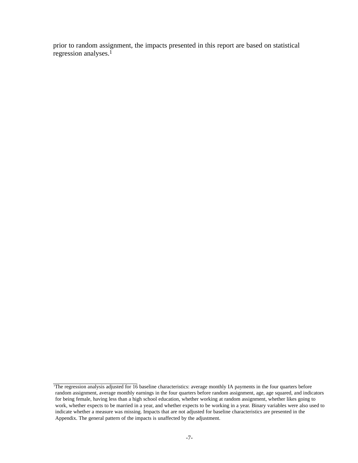prior to random assignment, the impacts presented in this report are based on statistical regression analyses.1

<sup>1</sup> The regression analysis adjusted for 16 baseline characteristics: average monthly IA payments in the four quarters before random assignment, average monthly earnings in the four quarters before random assignment, age, age squared, and indicators for being female, having less than a high school education, whether working at random assignment, whether likes going to work, whether expects to be married in a year, and whether expects to be working in a year. Binary variables were also used to indicate whether a measure was missing. Impacts that are not adjusted for baseline characteristics are presented in the Appendix. The general pattern of the impacts is unaffected by the adjustment.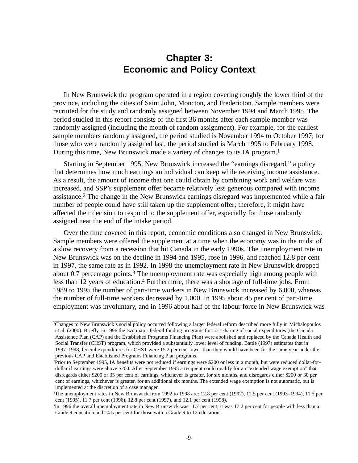# **Chapter 3: Economic and Policy Context**

In New Brunswick the program operated in a region covering roughly the lower third of the province, including the cities of Saint John, Moncton, and Fredericton. Sample members were recruited for the study and randomly assigned between November 1994 and March 1995. The period studied in this report consists of the first 36 months after each sample member was randomly assigned (including the month of random assignment). For example, for the earliest sample members randomly assigned, the period studied is November 1994 to October 1997; for those who were randomly assigned last, the period studied is March 1995 to February 1998. During this time, New Brunswick made a variety of changes to its IA program.1

Starting in September 1995, New Brunswick increased the "earnings disregard," a policy that determines how much earnings an individual can keep while receiving income assistance. As a result, the amount of income that one could obtain by combining work and welfare was increased, and SSP's supplement offer became relatively less generous compared with income assistance.2 The change in the New Brunswick earnings disregard was implemented while a fair number of people could have still taken up the supplement offer; therefore, it might have affected their decision to respond to the supplement offer, especially for those randomly assigned near the end of the intake period.

Over the time covered in this report, economic conditions also changed in New Brunswick. Sample members were offered the supplement at a time when the economy was in the midst of a slow recovery from a recession that hit Canada in the early 1990s. The unemployment rate in New Brunswick was on the decline in 1994 and 1995, rose in 1996, and reached 12.8 per cent in 1997, the same rate as in 1992. In 1998 the unemployment rate in New Brunswick dropped about 0.7 percentage points.3 The unemployment rate was especially high among people with less than 12 years of education.4 Furthermore, there was a shortage of full-time jobs. From 1989 to 1995 the number of part-time workers in New Brunswick increased by 6,000, whereas the number of full-time workers decreased by 1,000. In 1995 about 45 per cent of part-time employment was involuntary, and in 1996 about half of the labour force in New Brunswick was

<sup>&#</sup>x27;Changes to New Brunswick's social policy occurred following a larger federal reform described more fully in Michalopoulos et al. (2000). Briefly, in 1996 the two major federal funding programs for cost-sharing of social expenditures (the Canada Assistance Plan (CAP) and the Established Programs Financing Plan) were abolished and replaced by the Canada Health and Social Transfer (CHST) program, which provided a substantially lower level of funding. Battle (1997) estimates that in 1997–1998, federal expenditures for CHST were 15.2 per cent lower than they would have been for the same year under the previous CAP and Established Programs Financing Plan programs.

<sup>2</sup> Prior to September 1995, IA benefits were not reduced if earnings were \$200 or less in a month, but were reduced dollar-fordollar if earnings were above \$200. After September 1995 a recipient could qualify for an "extended wage exemption" that disregards either \$200 or 35 per cent of earnings, whichever is greater, for six months, and disregards either \$200 or 30 per cent of earnings, whichever is greater, for an additional six months. The extended wage exemption is not automatic, but is implemented at the discretion of a case manager.

<sup>3</sup> The unemployment rates in New Brunswick from 1992 to 1998 are: 12.8 per cent (1992), 12.5 per cent (1993–1994), 11.5 per cent (1995), 11.7 per cent (1996), 12.8 per cent (1997), and 12.1 per cent (1998).

<sup>4</sup> In 1996 the overall unemployment rate in New Brunswick was 11.7 per cent; it was 17.2 per cent for people with less than a Grade 9 education and 14.5 per cent for those with a Grade 9 to 12 education.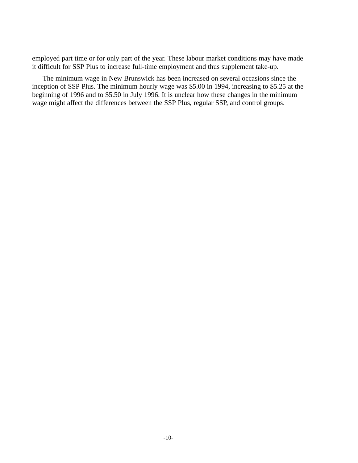employed part time or for only part of the year. These labour market conditions may have made it difficult for SSP Plus to increase full-time employment and thus supplement take-up.

The minimum wage in New Brunswick has been increased on several occasions since the inception of SSP Plus. The minimum hourly wage was \$5.00 in 1994, increasing to \$5.25 at the beginning of 1996 and to \$5.50 in July 1996. It is unclear how these changes in the minimum wage might affect the differences between the SSP Plus, regular SSP, and control groups.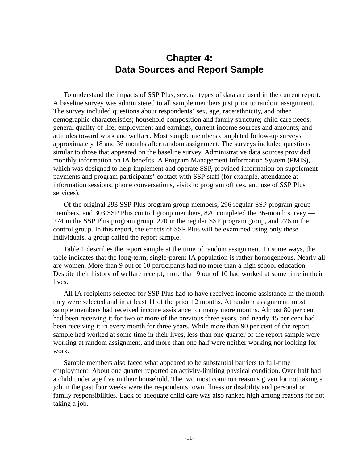# **Chapter 4: Data Sources and Report Sample**

To understand the impacts of SSP Plus, several types of data are used in the current report. A baseline survey was administered to all sample members just prior to random assignment. The survey included questions about respondents' sex, age, race/ethnicity, and other demographic characteristics; household composition and family structure; child care needs; general quality of life; employment and earnings; current income sources and amounts; and attitudes toward work and welfare. Most sample members completed follow-up surveys approximately 18 and 36 months after random assignment. The surveys included questions similar to those that appeared on the baseline survey. Administrative data sources provided monthly information on IA benefits. A Program Management Information System (PMIS), which was designed to help implement and operate SSP, provided information on supplement payments and program participants' contact with SSP staff (for example, attendance at information sessions, phone conversations, visits to program offices, and use of SSP Plus services).

Of the original 293 SSP Plus program group members, 296 regular SSP program group members, and 303 SSP Plus control group members, 820 completed the 36-month survey — 274 in the SSP Plus program group, 270 in the regular SSP program group, and 276 in the control group. In this report, the effects of SSP Plus will be examined using only these individuals, a group called the report sample.

Table 1 describes the report sample at the time of random assignment. In some ways, the table indicates that the long-term, single-parent IA population is rather homogeneous. Nearly all are women. More than 9 out of 10 participants had no more than a high school education. Despite their history of welfare receipt, more than 9 out of 10 had worked at some time in their lives.

All IA recipients selected for SSP Plus had to have received income assistance in the month they were selected and in at least 11 of the prior 12 months. At random assignment, most sample members had received income assistance for many more months. Almost 80 per cent had been receiving it for two or more of the previous three years, and nearly 45 per cent had been receiving it in every month for three years. While more than 90 per cent of the report sample had worked at some time in their lives, less than one quarter of the report sample were working at random assignment, and more than one half were neither working nor looking for work.

Sample members also faced what appeared to be substantial barriers to full-time employment. About one quarter reported an activity-limiting physical condition. Over half had a child under age five in their household. The two most common reasons given for not taking a job in the past four weeks were the respondents' own illness or disability and personal or family responsibilities. Lack of adequate child care was also ranked high among reasons for not taking a job.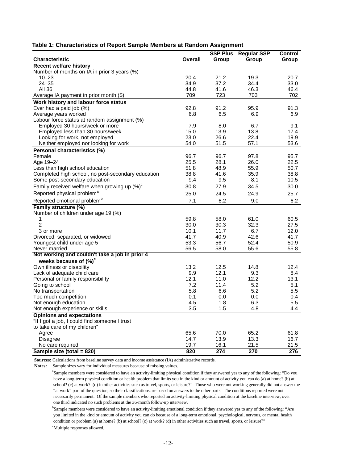|                                                    |              | <b>SSP Plus</b> | <b>Regular SSP</b> | Control      |
|----------------------------------------------------|--------------|-----------------|--------------------|--------------|
| <b>Characteristic</b>                              | Overall      | Group           | Group              | Group        |
| <b>Recent welfare history</b>                      |              |                 |                    |              |
| Number of months on IA in prior 3 years (%)        |              |                 |                    |              |
| $10 - 23$                                          | 20.4         | 21.2            | 19.3               | 20.7         |
| $24 - 35$                                          | 34.9         | 37.2            | 34.4               | 33.0         |
| All 36                                             | 44.8         | 41.6            | 46.3               | 46.4         |
| Average IA payment in prior month (\$)             | 709          | 723             | 703                | 702          |
| Work history and labour force status               |              |                 |                    |              |
| Ever had a paid job (%)                            | 92.8         | 91.2            | 95.9               | 91.3         |
| Average years worked                               | 6.8          | 6.5             | 6.9                | 6.9          |
| Labour force status at random assignment (%)       |              |                 |                    |              |
| Employed 30 hours/week or more                     | 7.9          | 8.0             | 6.7                | 9.1          |
| Employed less than 30 hours/week                   | 15.0         | 13.9            | 13.8               | 17.4         |
| Looking for work, not employed                     | 23.0         | 26.6            | 22.4               | 19.9         |
| Neither employed nor looking for work              | 54.0         | 51.5            | 57.1               | 53.6         |
| Personal characteristics (%)                       |              |                 |                    |              |
| Female                                             | 96.7         | 96.7            | 97.8               | 95.7         |
| Age 19-24                                          | 25.5         | 28.1            | 26.0               | 22.5         |
| Less than high school education                    | 51.8         | 48.9            | 55.9               | 50.7         |
| Completed high school, no post-secondary education | 38.8         | 41.6            | 35.9               | 38.8         |
| Some post-secondary education                      | 9.4          | 9.5             | 8.1                | 10.5         |
| Family received welfare when growing up $(\%)^c$   | 30.8         | 27.9            | 34.5               | 30.0         |
| Reported physical problem <sup>a</sup>             | 25.0         | 24.5            | 24.9               | 25.7         |
| Reported emotional problem <sup>b</sup>            | 7.1          | 6.2             | 9.0                | 6.2          |
| Family structure (%)                               |              |                 |                    |              |
| Number of children under age 19 (%)                |              |                 |                    |              |
| 1                                                  | 59.8         | 58.0            | 61.0               | 60.5         |
| $\overline{c}$                                     | 30.0         | 30.3            | 32.3               | 27.5         |
| 3 or more                                          | 10.1         | 11.7            | 6.7                | 12.0         |
| Divorced, separated, or widowed                    | 41.7         | 40.9            | 42.6               | 41.7         |
| Youngest child under age 5                         | 53.3         | 56.7            | 52.4               | 50.9         |
| Never married                                      | 56.5         | 58.0            | 55.6               | 55.8         |
| Not working and couldn't take a job in prior 4     |              |                 |                    |              |
| weeks because of $(\%)^c$                          |              |                 |                    |              |
| Own illness or disability                          | 13.2         | 12.5            | 14.8               | 12.4         |
| Lack of adequate child care                        | 9.9          | 12.1            | 9.3                | 8.4          |
| Personal or family responsibility                  | 12.1         | 11.0            | 12.2               | 13.1         |
| Going to school                                    | 7.2          | 11.4            | 5.2                | 5.1          |
| No transportation                                  | 5.8          | 6.6             | 5.2                | 5.5          |
| Too much competition                               | 0.1          | 0.0             | 0.0                | 0.4          |
| Not enough education                               | 4.5          | 1.8             | 6.3                | 5.5          |
| Not enough experience or skills                    | 3.5          | 1.5             | 4.8                | 4.4          |
| <b>Opinions and expectations</b>                   |              |                 |                    |              |
| "If I got a job, I could find someone I trust      |              |                 |                    |              |
| to take care of my children"                       |              |                 |                    |              |
| Agree                                              | 65.6<br>14.7 | 70.0<br>13.9    | 65.2<br>13.3       | 61.8<br>16.7 |
| <b>Disagree</b>                                    | 19.7         | 16.1            | 21.5               | 21.5         |
| No care required<br>Sample size $(total = 820)$    | 820          | 274             | 270                | 276          |
|                                                    |              |                 |                    |              |

**Sources:** Calculations from baseline survey data and income assistance (IA) administrative records.

**Notes:** Sample sizes vary for individual measures because of missing values.

 <sup>a</sup> Sample members were considered to have an activity-limiting physical condition if they answered yes to any of the following: "Do you have a long-term physical condition or health problem that limits you in the kind or amount of activity you can do (a) at home? (b) at school? (c) at work? (d) in other activities such as travel, sports, or leisure?" Those who were not working generally did not answer the "at work" part of the question, so their classifications are based on answers to the other parts. The conditions reported were not necessarily permanent. Of the sample members who reported an activity-limiting physical condition at the baseline interview, over one third indicated no such problems at the 36-month follow-up interview.

b<sub>b</sub> <sup>b</sup>Sample members were considered to have an activity-limiting emotional condition if they answered yes to any of the following: "Are you limited in the kind or amount of activity you can do because of a long-term emotional, psychological, nervous, or mental health condition or problem (a) at home? (b) at school? (c) at work? (d) in other activities such as travel, sports, or leisure?" c<sub>c</sub> Multiple responses allowed.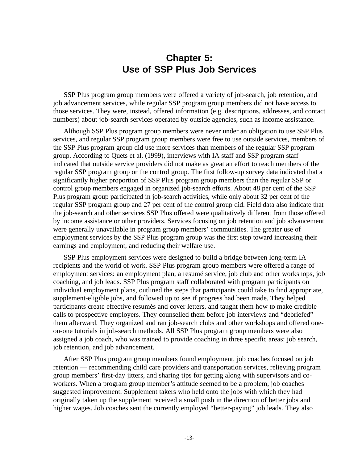# **Chapter 5: Use of SSP Plus Job Services**

SSP Plus program group members were offered a variety of job-search, job retention, and job advancement services, while regular SSP program group members did not have access to those services. They were, instead, offered information (e.g. descriptions, addresses, and contact numbers) about job-search services operated by outside agencies, such as income assistance.

Although SSP Plus program group members were never under an obligation to use SSP Plus services, and regular SSP program group members were free to use outside services, members of the SSP Plus program group did use more services than members of the regular SSP program group. According to Quets et al. (1999), interviews with IA staff and SSP program staff indicated that outside service providers did not make as great an effort to reach members of the regular SSP program group or the control group. The first follow-up survey data indicated that a significantly higher proportion of SSP Plus program group members than the regular SSP or control group members engaged in organized job-search efforts. About 48 per cent of the SSP Plus program group participated in job-search activities, while only about 32 per cent of the regular SSP program group and 27 per cent of the control group did. Field data also indicate that the job-search and other services SSP Plus offered were qualitatively different from those offered by income assistance or other providers. Services focusing on job retention and job advancement were generally unavailable in program group members' communities. The greater use of employment services by the SSP Plus program group was the first step toward increasing their earnings and employment, and reducing their welfare use.

SSP Plus employment services were designed to build a bridge between long-term IA recipients and the world of work. SSP Plus program group members were offered a range of employment services: an employment plan, a resumé service, job club and other workshops, job coaching, and job leads. SSP Plus program staff collaborated with program participants on individual employment plans, outlined the steps that participants could take to find appropriate, supplement-eligible jobs, and followed up to see if progress had been made. They helped participants create effective resumés and cover letters, and taught them how to make credible calls to prospective employers. They counselled them before job interviews and "debriefed" them afterward. They organized and ran job-search clubs and other workshops and offered oneon-one tutorials in job-search methods. All SSP Plus program group members were also assigned a job coach, who was trained to provide coaching in three specific areas: job search, job retention, and job advancement.

After SSP Plus program group members found employment, job coaches focused on job retention **—** recommending child care providers and transportation services, relieving program group members' first-day jitters, and sharing tips for getting along with supervisors and coworkers. When a program group member's attitude seemed to be a problem, job coaches suggested improvement. Supplement takers who held onto the jobs with which they had originally taken up the supplement received a small push in the direction of better jobs and higher wages. Job coaches sent the currently employed "better-paying" job leads. They also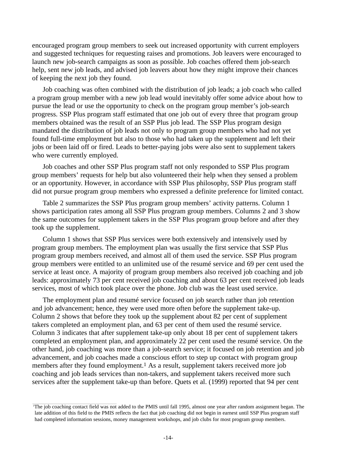encouraged program group members to seek out increased opportunity with current employers and suggested techniques for requesting raises and promotions. Job leavers were encouraged to launch new job-search campaigns as soon as possible. Job coaches offered them job-search help, sent new job leads, and advised job leavers about how they might improve their chances of keeping the next job they found.

Job coaching was often combined with the distribution of job leads; a job coach who called a program group member with a new job lead would inevitably offer some advice about how to pursue the lead or use the opportunity to check on the program group member's job-search progress. SSP Plus program staff estimated that one job out of every three that program group members obtained was the result of an SSP Plus job lead. The SSP Plus program design mandated the distribution of job leads not only to program group members who had not yet found full-time employment but also to those who had taken up the supplement and left their jobs or been laid off or fired. Leads to better-paying jobs were also sent to supplement takers who were currently employed.

Job coaches and other SSP Plus program staff not only responded to SSP Plus program group members' requests for help but also volunteered their help when they sensed a problem or an opportunity. However, in accordance with SSP Plus philosophy, SSP Plus program staff did not pursue program group members who expressed a definite preference for limited contact.

Table 2 summarizes the SSP Plus program group members' activity patterns. Column 1 shows participation rates among all SSP Plus program group members. Columns 2 and 3 show the same outcomes for supplement takers in the SSP Plus program group before and after they took up the supplement.

Column 1 shows that SSP Plus services were both extensively and intensively used by program group members. The employment plan was usually the first service that SSP Plus program group members received, and almost all of them used the service. SSP Plus program group members were entitled to an unlimited use of the resumé service and 69 per cent used the service at least once. A majority of program group members also received job coaching and job leads: approximately 73 per cent received job coaching and about 63 per cent received job leads services, most of which took place over the phone. Job club was the least used service.

The employment plan and resumé service focused on job search rather than job retention and job advancement; hence, they were used more often before the supplement take-up. Column 2 shows that before they took up the supplement about 82 per cent of supplement takers completed an employment plan, and 63 per cent of them used the resumé service. Column 3 indicates that after supplement take-up only about 18 per cent of supplement takers completed an employment plan, and approximately 22 per cent used the resumé service. On the other hand, job coaching was more than a job-search service; it focused on job retention and job advancement, and job coaches made a conscious effort to step up contact with program group members after they found employment.<sup>1</sup> As a result, supplement takers received more job coaching and job leads services than non-takers, and supplement takers received more such services after the supplement take-up than before. Quets et al. (1999) reported that 94 per cent

<sup>1</sup> The job coaching contact field was not added to the PMIS until fall 1995, almost one year after random assignment began. The late addition of this field to the PMIS reflects the fact that job coaching did not begin in earnest until SSP Plus program staff had completed information sessions, money management workshops, and job clubs for most program group members.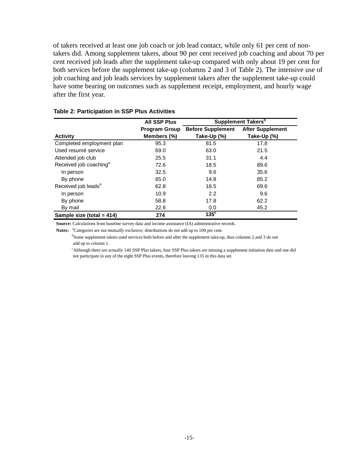of takers received at least one job coach or job lead contact, while only 61 per cent of nontakers did. Among supplement takers, about 90 per cent received job coaching and about 70 per cent received job leads after the supplement take-up compared with only about 19 per cent for both services before the supplement take-up (columns 2 and 3 of Table 2). The intensive use of job coaching and job leads services by supplement takers after the supplement take-up could have some bearing on outcomes such as supplement receipt, employment, and hourly wage after the first year.

|                                    | <b>All SSP Plus</b>  |                          | <b>Supplement Takers</b> <sup>b</sup> |
|------------------------------------|----------------------|--------------------------|---------------------------------------|
|                                    | <b>Program Group</b> | <b>Before Supplement</b> | <b>After Supplement</b>               |
| <b>Activity</b>                    | Members (%)          | Take-Up (%)              | Take-Up (%)                           |
| Completed employment plan          | 95.3                 | 81.5                     | 17.8                                  |
| Used resumé service                | 69.0                 | 63.0                     | 21.5                                  |
| Attended job club                  | 25.5                 | 31.1                     | 4.4                                   |
| Received job coaching <sup>a</sup> | 72.6                 | 18.5                     | 89.6                                  |
| In person                          | 32.5                 | 9.6                      | 35.6                                  |
| By phone                           | 65.0                 | 14.8                     | 85.2                                  |
| Received job leads <sup>a</sup>    | 62.8                 | 18.5                     | 69.6                                  |
| In person                          | 10.9                 | 2.2                      | 9.6                                   |
| By phone                           | 58.8                 | 17.8                     | 62.2                                  |
| By mail                            | 22.6                 | 0.0                      | 45.2                                  |
| Sample size (total = $414$ )       | 274                  | $135^{\circ}$            |                                       |

#### **Table 2: Participation in SSP Plus Activities**

**Source:** Calculations from baseline survey data and income assistance (IA) administrative records.

Notes: <sup>a</sup>Categories are not mutually exclusive; distributions do not add up to 100 per cent.

<sup>b</sup>Some supplement takers used services both before and after the supplement take-up, thus columns 2 and 3 do not add up to column 1.

 <sup>c</sup> Although there are actually 140 SSP Plus takers, four SSP Plus takers are missing a supplement initiation date and one did not participate in any of the eight SSP Plus events, therefore leaving 135 in this data set.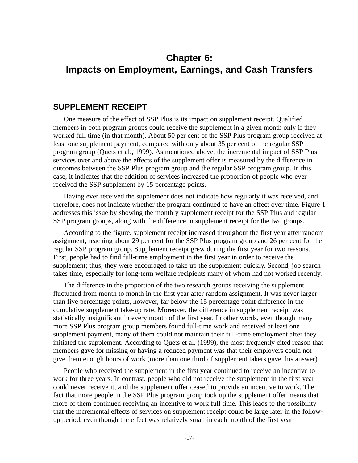# **Chapter 6: Impacts on Employment, Earnings, and Cash Transfers**

#### **SUPPLEMENT RECEIPT**

One measure of the effect of SSP Plus is its impact on supplement receipt. Qualified members in both program groups could receive the supplement in a given month only if they worked full time (in that month). About 50 per cent of the SSP Plus program group received at least one supplement payment, compared with only about 35 per cent of the regular SSP program group (Quets et al., 1999). As mentioned above, the incremental impact of SSP Plus services over and above the effects of the supplement offer is measured by the difference in outcomes between the SSP Plus program group and the regular SSP program group. In this case, it indicates that the addition of services increased the proportion of people who ever received the SSP supplement by 15 percentage points.

Having ever received the supplement does not indicate how regularly it was received, and therefore, does not indicate whether the program continued to have an effect over time. Figure 1 addresses this issue by showing the monthly supplement receipt for the SSP Plus and regular SSP program groups, along with the difference in supplement receipt for the two groups.

According to the figure, supplement receipt increased throughout the first year after random assignment, reaching about 29 per cent for the SSP Plus program group and 26 per cent for the regular SSP program group. Supplement receipt grew during the first year for two reasons. First, people had to find full-time employment in the first year in order to receive the supplement; thus, they were encouraged to take up the supplement quickly. Second, job search takes time, especially for long-term welfare recipients many of whom had not worked recently.

The difference in the proportion of the two research groups receiving the supplement fluctuated from month to month in the first year after random assignment. It was never larger than five percentage points, however, far below the 15 percentage point difference in the cumulative supplement take-up rate. Moreover, the difference in supplement receipt was statistically insignificant in every month of the first year. In other words, even though many more SSP Plus program group members found full-time work and received at least one supplement payment, many of them could not maintain their full-time employment after they initiated the supplement. According to Quets et al. (1999), the most frequently cited reason that members gave for missing or having a reduced payment was that their employers could not give them enough hours of work (more than one third of supplement takers gave this answer).

People who received the supplement in the first year continued to receive an incentive to work for three years. In contrast, people who did not receive the supplement in the first year could never receive it, and the supplement offer ceased to provide an incentive to work. The fact that more people in the SSP Plus program group took up the supplement offer means that more of them continued receiving an incentive to work full time. This leads to the possibility that the incremental effects of services on supplement receipt could be large later in the followup period, even though the effect was relatively small in each month of the first year.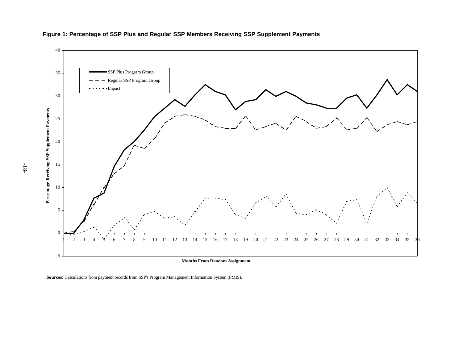

#### **Figure 1: Percentage of SSP Plus and Regular SSP Members Receiving SSP Supplement Payments**

**Sources:** Calculations from payment records from SSP's Program Management Information System (PMIS).

-18-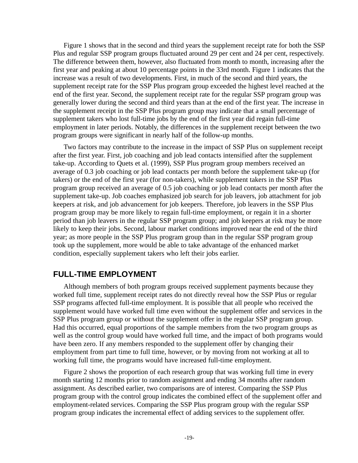Figure 1 shows that in the second and third years the supplement receipt rate for both the SSP Plus and regular SSP program groups fluctuated around 29 per cent and 24 per cent, respectively. The difference between them, however, also fluctuated from month to month, increasing after the first year and peaking at about 10 percentage points in the 33rd month. Figure 1 indicates that the increase was a result of two developments. First, in much of the second and third years, the supplement receipt rate for the SSP Plus program group exceeded the highest level reached at the end of the first year. Second, the supplement receipt rate for the regular SSP program group was generally lower during the second and third years than at the end of the first year. The increase in the supplement receipt in the SSP Plus program group may indicate that a small percentage of supplement takers who lost full-time jobs by the end of the first year did regain full-time employment in later periods. Notably, the differences in the supplement receipt between the two program groups were significant in nearly half of the follow-up months.

Two factors may contribute to the increase in the impact of SSP Plus on supplement receipt after the first year. First, job coaching and job lead contacts intensified after the supplement take-up. According to Quets et al. (1999), SSP Plus program group members received an average of 0.3 job coaching or job lead contacts per month before the supplement take-up (for takers) or the end of the first year (for non-takers), while supplement takers in the SSP Plus program group received an average of 0.5 job coaching or job lead contacts per month after the supplement take-up. Job coaches emphasized job search for job leavers, job attachment for job keepers at risk, and job advancement for job keepers. Therefore, job leavers in the SSP Plus program group may be more likely to regain full-time employment, or regain it in a shorter period than job leavers in the regular SSP program group; and job keepers at risk may be more likely to keep their jobs. Second, labour market conditions improved near the end of the third year; as more people in the SSP Plus program group than in the regular SSP program group took up the supplement, more would be able to take advantage of the enhanced market condition, especially supplement takers who left their jobs earlier.

### **FULL-TIME EMPLOYMENT**

Although members of both program groups received supplement payments because they worked full time, supplement receipt rates do not directly reveal how the SSP Plus or regular SSP programs affected full-time employment. It is possible that all people who received the supplement would have worked full time even without the supplement offer and services in the SSP Plus program group or without the supplement offer in the regular SSP program group. Had this occurred, equal proportions of the sample members from the two program groups as well as the control group would have worked full time, and the impact of both programs would have been zero. If any members responded to the supplement offer by changing their employment from part time to full time, however, or by moving from not working at all to working full time, the programs would have increased full-time employment.

Figure 2 shows the proportion of each research group that was working full time in every month starting 12 months prior to random assignment and ending 34 months after random assignment. As described earlier, two comparisons are of interest. Comparing the SSP Plus program group with the control group indicates the combined effect of the supplement offer and employment-related services. Comparing the SSP Plus program group with the regular SSP program group indicates the incremental effect of adding services to the supplement offer.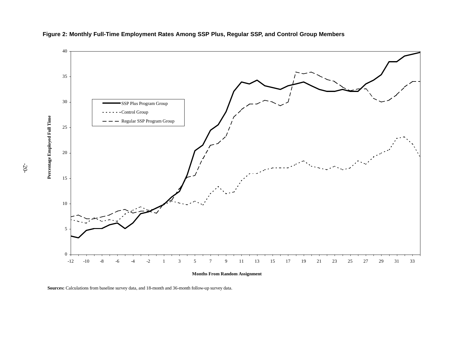

#### **Figure 2: Monthly Full-Time Employment Rates Among SSP Plus, Regular SSP, and Control Group Members**

**Months From Random Assignment**

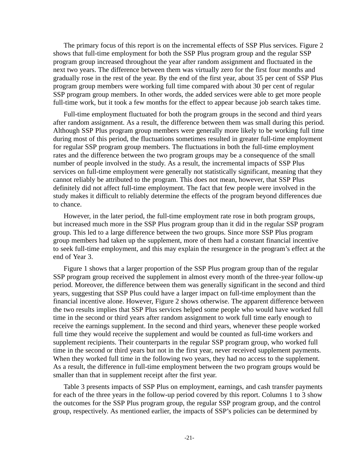The primary focus of this report is on the incremental effects of SSP Plus services. Figure 2 shows that full-time employment for both the SSP Plus program group and the regular SSP program group increased throughout the year after random assignment and fluctuated in the next two years. The difference between them was virtually zero for the first four months and gradually rose in the rest of the year. By the end of the first year, about 35 per cent of SSP Plus program group members were working full time compared with about 30 per cent of regular SSP program group members. In other words, the added services were able to get more people full-time work, but it took a few months for the effect to appear because job search takes time.

Full-time employment fluctuated for both the program groups in the second and third years after random assignment. As a result, the difference between them was small during this period. Although SSP Plus program group members were generally more likely to be working full time during most of this period, the fluctuations sometimes resulted in greater full-time employment for regular SSP program group members. The fluctuations in both the full-time employment rates and the difference between the two program groups may be a consequence of the small number of people involved in the study. As a result, the incremental impacts of SSP Plus services on full-time employment were generally not statistically significant, meaning that they cannot reliably be attributed to the program. This does not mean, however, that SSP Plus definitely did not affect full-time employment. The fact that few people were involved in the study makes it difficult to reliably determine the effects of the program beyond differences due to chance.

However, in the later period, the full-time employment rate rose in both program groups, but increased much more in the SSP Plus program group than it did in the regular SSP program group. This led to a large difference between the two groups. Since more SSP Plus program group members had taken up the supplement, more of them had a constant financial incentive to seek full-time employment, and this may explain the resurgence in the program's effect at the end of Year 3.

Figure 1 shows that a larger proportion of the SSP Plus program group than of the regular SSP program group received the supplement in almost every month of the three-year follow-up period. Moreover, the difference between them was generally significant in the second and third years, suggesting that SSP Plus could have a larger impact on full-time employment than the financial incentive alone. However, Figure 2 shows otherwise. The apparent difference between the two results implies that SSP Plus services helped some people who would have worked full time in the second or third years after random assignment to work full time early enough to receive the earnings supplement. In the second and third years, whenever these people worked full time they would receive the supplement and would be counted as full-time workers and supplement recipients. Their counterparts in the regular SSP program group, who worked full time in the second or third years but not in the first year, never received supplement payments. When they worked full time in the following two years, they had no access to the supplement. As a result, the difference in full-time employment between the two program groups would be smaller than that in supplement receipt after the first year.

Table 3 presents impacts of SSP Plus on employment, earnings, and cash transfer payments for each of the three years in the follow-up period covered by this report. Columns 1 to 3 show the outcomes for the SSP Plus program group, the regular SSP program group, and the control group, respectively. As mentioned earlier, the impacts of SSP's policies can be determined by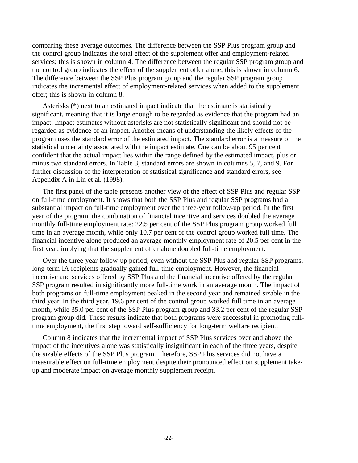comparing these average outcomes. The difference between the SSP Plus program group and the control group indicates the total effect of the supplement offer and employment-related services; this is shown in column 4. The difference between the regular SSP program group and the control group indicates the effect of the supplement offer alone; this is shown in column 6. The difference between the SSP Plus program group and the regular SSP program group indicates the incremental effect of employment-related services when added to the supplement offer; this is shown in column 8.

Asterisks (\*) next to an estimated impact indicate that the estimate is statistically significant, meaning that it is large enough to be regarded as evidence that the program had an impact. Impact estimates without asterisks are not statistically significant and should not be regarded as evidence of an impact. Another means of understanding the likely effects of the program uses the standard error of the estimated impact. The standard error is a measure of the statistical uncertainty associated with the impact estimate. One can be about 95 per cent confident that the actual impact lies within the range defined by the estimated impact, plus or minus two standard errors. In Table 3, standard errors are shown in columns 5, 7, and 9. For further discussion of the interpretation of statistical significance and standard errors, see Appendix A in Lin et al. (1998).

The first panel of the table presents another view of the effect of SSP Plus and regular SSP on full-time employment. It shows that both the SSP Plus and regular SSP programs had a substantial impact on full-time employment over the three-year follow-up period. In the first year of the program, the combination of financial incentive and services doubled the average monthly full-time employment rate: 22.5 per cent of the SSP Plus program group worked full time in an average month, while only 10.7 per cent of the control group worked full time. The financial incentive alone produced an average monthly employment rate of 20.5 per cent in the first year, implying that the supplement offer alone doubled full-time employment.

Over the three-year follow-up period, even without the SSP Plus and regular SSP programs, long-term IA recipients gradually gained full-time employment. However, the financial incentive and services offered by SSP Plus and the financial incentive offered by the regular SSP program resulted in significantly more full-time work in an average month. The impact of both programs on full-time employment peaked in the second year and remained sizable in the third year. In the third year, 19.6 per cent of the control group worked full time in an average month, while 35.0 per cent of the SSP Plus program group and 33.2 per cent of the regular SSP program group did. These results indicate that both programs were successful in promoting fulltime employment, the first step toward self-sufficiency for long-term welfare recipient.

Column 8 indicates that the incremental impact of SSP Plus services over and above the impact of the incentives alone was statistically insignificant in each of the three years, despite the sizable effects of the SSP Plus program. Therefore, SSP Plus services did not have a measurable effect on full-time employment despite their pronounced effect on supplement takeup and moderate impact on average monthly supplement receipt.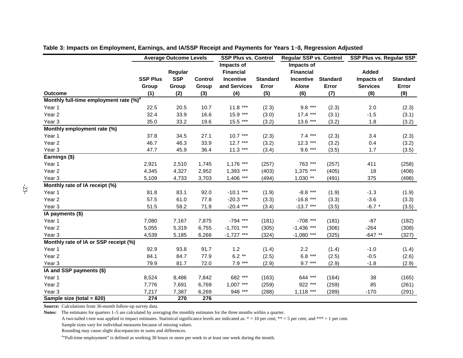|                                                    |                 | <b>Average Outcome Levels</b> |                | <b>SSP Plus vs. Control</b> |                 | <b>Regular SSP vs. Control</b> |                 |                 | <b>SSP Plus vs. Regular SSP</b> |
|----------------------------------------------------|-----------------|-------------------------------|----------------|-----------------------------|-----------------|--------------------------------|-----------------|-----------------|---------------------------------|
|                                                    |                 |                               |                | Impacts of                  |                 | Impacts of                     |                 |                 |                                 |
|                                                    |                 | Regular                       |                | <b>Financial</b>            |                 | <b>Financial</b>               |                 | Added           |                                 |
|                                                    | <b>SSP Plus</b> | <b>SSP</b>                    | <b>Control</b> | Incentive                   | <b>Standard</b> | Incentive                      | <b>Standard</b> | Impacts of      | <b>Standard</b>                 |
|                                                    | Group           | Group                         | Group          | and Services                | Error           | <b>Alone</b>                   | Error           | <b>Services</b> | Error                           |
| <b>Outcome</b>                                     | (1)             | (2)                           | (3)            | (4)                         | (5)             | (6)                            | (7)             | (8)             | (9)                             |
| Monthly full-time employment rate (%) <sup>a</sup> |                 |                               |                |                             |                 |                                |                 |                 |                                 |
| Year 1                                             | 22.5            | 20.5                          | 10.7           | $11.8***$                   | (2.3)           | $9.8***$                       | (2.3)           | 2.0             | (2.3)                           |
| Year <sub>2</sub>                                  | 32.4            | 33.9                          | 16.6           | 15.9 ***                    | (3.0)           | $17.4***$                      | (3.1)           | $-1.5$          | (3.1)                           |
| Year <sub>3</sub>                                  | 35.0            | 33.2                          | 19.6           | 15.5 ***                    | (3.2)           | $13.6***$                      | (3.2)           | 1.8             | (3.2)                           |
| Monthly employment rate (%)                        |                 |                               |                |                             |                 |                                |                 |                 |                                 |
| Year 1                                             | 37.8            | 34.5                          | 27.1           | $10.7***$                   | (2.3)           | $7.4***$                       | (2.3)           | 3.4             | (2.3)                           |
| Year <sub>2</sub>                                  | 46.7            | 46.3                          | 33.9           | $12.7***$                   | (3.2)           | $12.3***$                      | (3.2)           | 0.4             | (3.2)                           |
| Year <sub>3</sub>                                  | 47.7            | 45.9                          | 36.4           | $11.3***$                   | (3.4)           | $9.6***$                       | (3.5)           | 1.7             | (3.5)                           |
| Earnings (\$)                                      |                 |                               |                |                             |                 |                                |                 |                 |                                 |
| Year 1                                             | 2,921           | 2,510                         | 1,745          | $1,176$ ***                 | (257)           | 763 ***                        | (257)           | 411             | (258)                           |
| Year <sub>2</sub>                                  | 4,345           | 4,327                         | 2,952          | $1,393$ ***                 | (403)           | $1,375$ ***                    | (405)           | 18              | (408)                           |
| Year <sub>3</sub>                                  | 5,109           | 4,733                         | 3,703          | $1,406$ ***                 | (494)           | $1,030$ **                     | (491)           | 375             | (498)                           |
| Monthly rate of IA receipt (%)                     |                 |                               |                |                             |                 |                                |                 |                 |                                 |
| Year 1                                             | 81.8            | 83.1                          | 92.0           | $-10.1$ ***                 | (1.9)           | $-8.8$ ***                     | (1.9)           | $-1.3$          | (1.9)                           |
| Year <sub>2</sub>                                  | 57.5            | 61.0                          | 77.8           | $-20.3$ ***                 | (3.3)           | $-16.8$ ***                    | (3.3)           | $-3.6$          | (3.3)                           |
| Year <sub>3</sub>                                  | 51.5            | 58.2                          | 71.9           | $-20.4$ ***                 | (3.4)           | $-13.7$ ***                    | (3.5)           | $-6.7$ *        | (3.5)                           |
| IA payments (\$)                                   |                 |                               |                |                             |                 |                                |                 |                 |                                 |
| Year 1                                             | 7,080           | 7,167                         | 7,875          | $-794$ ***                  | (181)           | $-708$ ***                     | (181)           | $-87$           | (182)                           |
| Year <sub>2</sub>                                  | 5,055           | 5,319                         | 6,755          | $-1,701$ ***                | (305)           | $-1,436$ ***                   | (306)           | $-264$          | (308)                           |
| Year <sub>3</sub>                                  | 4,539           | 5,185                         | 6,266          | $-1,727$ ***                | (324)           | $-1,080$ ***                   | (325)           | $-647**$        | (327)                           |
| Monthly rate of IA or SSP receipt (%)              |                 |                               |                |                             |                 |                                |                 |                 |                                 |
| Year 1                                             | 92.9            | 93.8                          | 91.7           | 1.2                         | (1.4)           | 2.2                            | (1.4)           | $-1.0$          | (1.4)                           |
| Year <sub>2</sub>                                  | 84.1            | 84.7                          | 77.9           | $6.2**$                     | (2.5)           | $6.8***$                       | (2.5)           | $-0.5$          | (2.6)                           |
| Year <sub>3</sub>                                  | 79.9            | 81.7                          | 72.0           | $7.9***$                    | (2.9)           | $9.7***$                       | (2.9)           | $-1.8$          | (2.9)                           |
| IA and SSP payments (\$)                           |                 |                               |                |                             |                 |                                |                 |                 |                                 |
| Year 1                                             | 8,524           | 8,486                         | 7,842          | 682 ***                     | (163)           | 644 ***                        | (164)           | 38              | (165)                           |
| Year <sub>2</sub>                                  | 7,776           | 7,691                         | 6,769          | $1,007$ ***                 | (259)           | 922 ***                        | (259)           | 85              | (261)                           |
| Year <sub>3</sub>                                  | 7,217           | 7,387                         | 6,269          | 948 ***                     | (288)           | $1,118$ ***                    | (289)           | $-170$          | (291)                           |
| Sample size (total = 820)                          | 274             | 270                           | 276            |                             |                 |                                |                 |                 |                                 |

**Table 3: Impacts on Employment, Earnings, and IA/SSP Receipt and Payments for Years 1**−**3, Regression Adjusted**

**Source:** Calculations from 36-month follow-up survey data.

**Notes:** The estimates for quarters 1–5 are calculated by averaging the monthly estimates for the three months within a quarter.

A two-tailed t-test was applied to impact estimates. Statistical significance levels are indicated as:  $* = 10$  per cent;  $** = 5$  per cent; and  $*** = 1$  per cent. Sample sizes vary for individual measures because of missing values.

Rounding may cause slight discrepancies in sums and differences.

<sup>a</sup> Full-time employment" is defined as working 30 hours or more per week in at least one week during the month.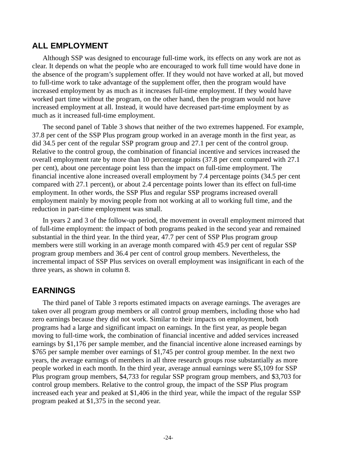#### **ALL EMPLOYMENT**

Although SSP was designed to encourage full-time work, its effects on any work are not as clear. It depends on what the people who are encouraged to work full time would have done in the absence of the program's supplement offer. If they would not have worked at all, but moved to full-time work to take advantage of the supplement offer, then the program would have increased employment by as much as it increases full-time employment. If they would have worked part time without the program, on the other hand, then the program would not have increased employment at all. Instead, it would have decreased part-time employment by as much as it increased full-time employment.

The second panel of Table 3 shows that neither of the two extremes happened. For example, 37.8 per cent of the SSP Plus program group worked in an average month in the first year, as did 34.5 per cent of the regular SSP program group and 27.1 per cent of the control group. Relative to the control group, the combination of financial incentive and services increased the overall employment rate by more than 10 percentage points (37.8 per cent compared with 27.1 per cent), about one percentage point less than the impact on full-time employment. The financial incentive alone increased overall employment by 7.4 percentage points (34.5 per cent compared with 27.1 percent), or about 2.4 percentage points lower than its effect on full-time employment. In other words, the SSP Plus and regular SSP programs increased overall employment mainly by moving people from not working at all to working full time, and the reduction in part-time employment was small.

In years 2 and 3 of the follow-up period, the movement in overall employment mirrored that of full-time employment: the impact of both programs peaked in the second year and remained substantial in the third year. In the third year, 47.7 per cent of SSP Plus program group members were still working in an average month compared with 45.9 per cent of regular SSP program group members and 36.4 per cent of control group members. Nevertheless, the incremental impact of SSP Plus services on overall employment was insignificant in each of the three years, as shown in column 8.

### **EARNINGS**

The third panel of Table 3 reports estimated impacts on average earnings. The averages are taken over all program group members or all control group members, including those who had zero earnings because they did not work. Similar to their impacts on employment, both programs had a large and significant impact on earnings. In the first year, as people began moving to full-time work, the combination of financial incentive and added services increased earnings by \$1,176 per sample member, and the financial incentive alone increased earnings by \$765 per sample member over earnings of \$1,745 per control group member. In the next two years, the average earnings of members in all three research groups rose substantially as more people worked in each month. In the third year, average annual earnings were \$5,109 for SSP Plus program group members, \$4,733 for regular SSP program group members, and \$3,703 for control group members. Relative to the control group, the impact of the SSP Plus program increased each year and peaked at \$1,406 in the third year, while the impact of the regular SSP program peaked at \$1,375 in the second year.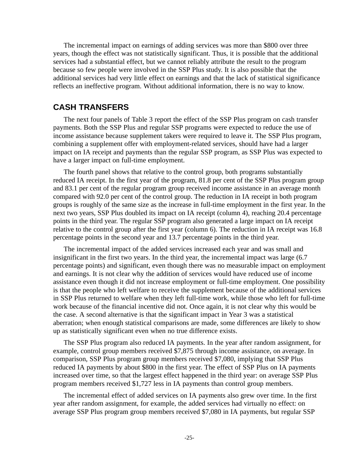The incremental impact on earnings of adding services was more than \$800 over three years, though the effect was not statistically significant. Thus, it is possible that the additional services had a substantial effect, but we cannot reliably attribute the result to the program because so few people were involved in the SSP Plus study. It is also possible that the additional services had very little effect on earnings and that the lack of statistical significance reflects an ineffective program. Without additional information, there is no way to know.

#### **CASH TRANSFERS**

The next four panels of Table 3 report the effect of the SSP Plus program on cash transfer payments. Both the SSP Plus and regular SSP programs were expected to reduce the use of income assistance because supplement takers were required to leave it. The SSP Plus program, combining a supplement offer with employment-related services, should have had a larger impact on IA receipt and payments than the regular SSP program, as SSP Plus was expected to have a larger impact on full-time employment.

The fourth panel shows that relative to the control group, both programs substantially reduced IA receipt. In the first year of the program, 81.8 per cent of the SSP Plus program group and 83.1 per cent of the regular program group received income assistance in an average month compared with 92.0 per cent of the control group. The reduction in IA receipt in both program groups is roughly of the same size as the increase in full-time employment in the first year. In the next two years, SSP Plus doubled its impact on IA receipt (column 4), reaching 20.4 percentage points in the third year. The regular SSP program also generated a large impact on IA receipt relative to the control group after the first year (column 6). The reduction in IA receipt was 16.8 percentage points in the second year and 13.7 percentage points in the third year.

The incremental impact of the added services increased each year and was small and insignificant in the first two years. In the third year, the incremental impact was large (6.7 percentage points) and significant, even though there was no measurable impact on employment and earnings. It is not clear why the addition of services would have reduced use of income assistance even though it did not increase employment or full-time employment. One possibility is that the people who left welfare to receive the supplement because of the additional services in SSP Plus returned to welfare when they left full-time work, while those who left for full-time work because of the financial incentive did not. Once again, it is not clear why this would be the case. A second alternative is that the significant impact in Year 3 was a statistical aberration; when enough statistical comparisons are made, some differences are likely to show up as statistically significant even when no true difference exists.

The SSP Plus program also reduced IA payments. In the year after random assignment, for example, control group members received \$7,875 through income assistance, on average. In comparison, SSP Plus program group members received \$7,080, implying that SSP Plus reduced IA payments by about \$800 in the first year. The effect of SSP Plus on IA payments increased over time, so that the largest effect happened in the third year: on average SSP Plus program members received \$1,727 less in IA payments than control group members.

The incremental effect of added services on IA payments also grew over time. In the first year after random assignment, for example, the added services had virtually no effect: on average SSP Plus program group members received \$7,080 in IA payments, but regular SSP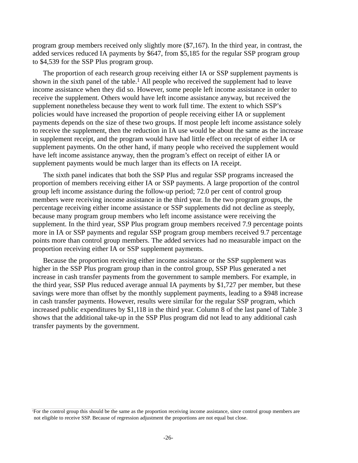program group members received only slightly more (\$7,167). In the third year, in contrast, the added services reduced IA payments by \$647, from \$5,185 for the regular SSP program group to \$4,539 for the SSP Plus program group.

The proportion of each research group receiving either IA or SSP supplement payments is shown in the sixth panel of the table.<sup>1</sup> All people who received the supplement had to leave income assistance when they did so. However, some people left income assistance in order to receive the supplement. Others would have left income assistance anyway, but received the supplement nonetheless because they went to work full time. The extent to which SSP's policies would have increased the proportion of people receiving either IA or supplement payments depends on the size of these two groups. If most people left income assistance solely to receive the supplement, then the reduction in IA use would be about the same as the increase in supplement receipt, and the program would have had little effect on receipt of either IA or supplement payments. On the other hand, if many people who received the supplement would have left income assistance anyway, then the program's effect on receipt of either IA or supplement payments would be much larger than its effects on IA receipt.

The sixth panel indicates that both the SSP Plus and regular SSP programs increased the proportion of members receiving either IA or SSP payments. A large proportion of the control group left income assistance during the follow-up period; 72.0 per cent of control group members were receiving income assistance in the third year. In the two program groups, the percentage receiving either income assistance or SSP supplements did not decline as steeply, because many program group members who left income assistance were receiving the supplement. In the third year, SSP Plus program group members received 7.9 percentage points more in IA or SSP payments and regular SSP program group members received 9.7 percentage points more than control group members. The added services had no measurable impact on the proportion receiving either IA or SSP supplement payments.

Because the proportion receiving either income assistance or the SSP supplement was higher in the SSP Plus program group than in the control group, SSP Plus generated a net increase in cash transfer payments from the government to sample members. For example, in the third year, SSP Plus reduced average annual IA payments by \$1,727 per member, but these savings were more than offset by the monthly supplement payments, leading to a \$948 increase in cash transfer payments. However, results were similar for the regular SSP program, which increased public expenditures by \$1,118 in the third year. Column 8 of the last panel of Table 3 shows that the additional take-up in the SSP Plus program did not lead to any additional cash transfer payments by the government.

<sup>1</sup> For the control group this should be the same as the proportion receiving income assistance, since control group members are not eligible to receive SSP. Because of regression adjustment the proportions are not equal but close.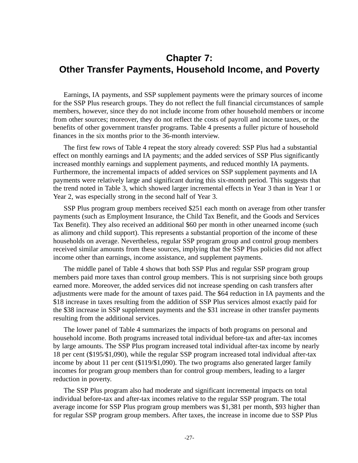# **Chapter 7: Other Transfer Payments, Household Income, and Poverty**

Earnings, IA payments, and SSP supplement payments were the primary sources of income for the SSP Plus research groups. They do not reflect the full financial circumstances of sample members, however, since they do not include income from other household members or income from other sources; moreover, they do not reflect the costs of payroll and income taxes, or the benefits of other government transfer programs. Table 4 presents a fuller picture of household finances in the six months prior to the 36-month interview.

The first few rows of Table 4 repeat the story already covered: SSP Plus had a substantial effect on monthly earnings and IA payments; and the added services of SSP Plus significantly increased monthly earnings and supplement payments, and reduced monthly IA payments. Furthermore, the incremental impacts of added services on SSP supplement payments and IA payments were relatively large and significant during this six-month period. This suggests that the trend noted in Table 3, which showed larger incremental effects in Year 3 than in Year 1 or Year 2, was especially strong in the second half of Year 3.

SSP Plus program group members received \$251 each month on average from other transfer payments (such as Employment Insurance, the Child Tax Benefit, and the Goods and Services Tax Benefit). They also received an additional \$60 per month in other unearned income (such as alimony and child support). This represents a substantial proportion of the income of these households on average. Nevertheless, regular SSP program group and control group members received similar amounts from these sources, implying that the SSP Plus policies did not affect income other than earnings, income assistance, and supplement payments.

The middle panel of Table 4 shows that both SSP Plus and regular SSP program group members paid more taxes than control group members. This is not surprising since both groups earned more. Moreover, the added services did not increase spending on cash transfers after adjustments were made for the amount of taxes paid. The \$64 reduction in IA payments and the \$18 increase in taxes resulting from the addition of SSP Plus services almost exactly paid for the \$38 increase in SSP supplement payments and the \$31 increase in other transfer payments resulting from the additional services.

The lower panel of Table 4 summarizes the impacts of both programs on personal and household income. Both programs increased total individual before-tax and after-tax incomes by large amounts. The SSP Plus program increased total individual after-tax income by nearly 18 per cent (\$195/\$1,090), while the regular SSP program increased total individual after-tax income by about 11 per cent (\$119/\$1,090). The two programs also generated larger family incomes for program group members than for control group members, leading to a larger reduction in poverty.

The SSP Plus program also had moderate and significant incremental impacts on total individual before-tax and after-tax incomes relative to the regular SSP program. The total average income for SSP Plus program group members was \$1,381 per month, \$93 higher than for regular SSP program group members. After taxes, the increase in income due to SSP Plus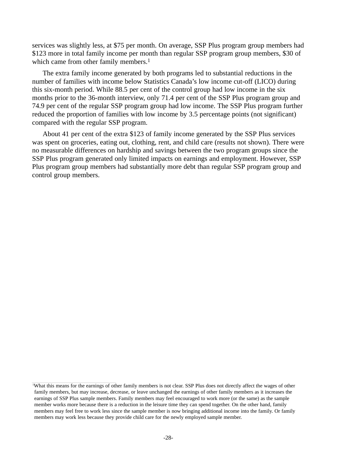services was slightly less, at \$75 per month. On average, SSP Plus program group members had \$123 more in total family income per month than regular SSP program group members, \$30 of which came from other family members.<sup>1</sup>

The extra family income generated by both programs led to substantial reductions in the number of families with income below Statistics Canada's low income cut-off (LICO) during this six-month period. While 88.5 per cent of the control group had low income in the six months prior to the 36-month interview, only 71.4 per cent of the SSP Plus program group and 74.9 per cent of the regular SSP program group had low income. The SSP Plus program further reduced the proportion of families with low income by 3.5 percentage points (not significant) compared with the regular SSP program.

About 41 per cent of the extra \$123 of family income generated by the SSP Plus services was spent on groceries, eating out, clothing, rent, and child care (results not shown). There were no measurable differences on hardship and savings between the two program groups since the SSP Plus program generated only limited impacts on earnings and employment. However, SSP Plus program group members had substantially more debt than regular SSP program group and control group members.

<sup>1</sup> What this means for the earnings of other family members is not clear. SSP Plus does not directly affect the wages of other family members, but may increase, decrease, or leave unchanged the earnings of other family members as it increases the earnings of SSP Plus sample members. Family members may feel encouraged to work more (or the same) as the sample member works more because there is a reduction in the leisure time they can spend together. On the other hand, family members may feel free to work less since the sample member is now bringing additional income into the family. Or family members may work less because they provide child care for the newly employed sample member.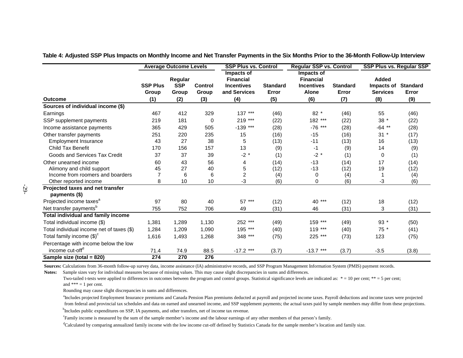|                                                   |                          | <b>Average Outcome Levels</b>  |                         | <b>SSP Plus vs. Control</b>                                         |                          | <b>Regular SSP vs. Control</b>                                      |                          | <b>SSP Plus vs. Regular SSP</b>               |                          |
|---------------------------------------------------|--------------------------|--------------------------------|-------------------------|---------------------------------------------------------------------|--------------------------|---------------------------------------------------------------------|--------------------------|-----------------------------------------------|--------------------------|
|                                                   | <b>SSP Plus</b><br>Group | Regular<br><b>SSP</b><br>Group | <b>Control</b><br>Group | Impacts of<br><b>Financial</b><br><b>Incentives</b><br>and Services | <b>Standard</b><br>Error | Impacts of<br><b>Financial</b><br><b>Incentives</b><br><b>Alone</b> | <b>Standard</b><br>Error | <b>Added</b><br>Impacts of<br><b>Services</b> | <b>Standard</b><br>Error |
| <b>Outcome</b>                                    | (1)                      | (2)                            | (3)                     | (4)                                                                 | (5)                      | (6)                                                                 | (7)                      | (8)                                           | (9)                      |
| Sources of individual income (\$)                 |                          |                                |                         |                                                                     |                          |                                                                     |                          |                                               |                          |
| Earnings                                          | 467                      | 412                            | 329                     | $***$<br>137                                                        | (46)                     | $82*$                                                               | (46)                     | 55                                            | (46)                     |
| SSP supplement payments                           | 219                      | 181                            | 0                       | 219 ***                                                             | (22)                     | 182 ***                                                             | (22)                     | $38$ $^{\star}$                               | (22)                     |
| Income assistance payments                        | 365                      | 429                            | 505                     | $-139$<br>$***$                                                     | (28)                     | $-76$<br>$***$                                                      | (28)                     | $-64$ **                                      | (28)                     |
| Other transfer payments                           | 251                      | 220                            | 235                     | 15                                                                  | (16)                     | $-15$                                                               | (16)                     | $31 *$                                        | (17)                     |
| <b>Employment Insurance</b>                       | 43                       | 27                             | 38                      | 5                                                                   | (13)                     | $-11$                                                               | (13)                     | 16                                            | (13)                     |
| <b>Child Tax Benefit</b>                          | 170                      | 156                            | 157                     | 13                                                                  | (9)                      | $-1$                                                                | (9)                      | 14                                            | (9)                      |
| Goods and Services Tax Credit                     | 37                       | 37                             | 39                      | $-2$ *                                                              | (1)                      | $-2$ *                                                              | (1)                      | 0                                             | (1)                      |
| Other unearned income                             | 60                       | 43                             | 56                      | 4                                                                   | (14)                     | $-13$                                                               | (14)                     | 17                                            | (14)                     |
| Alimony and child support                         | 45                       | 27                             | 40                      | 5                                                                   | (12)                     | $-13$                                                               | (12)                     | 19                                            | (12)                     |
| Income from roomers and boarders                  | 7                        | 6                              | 6                       | $\overline{c}$                                                      | (4)                      | 0                                                                   | (4)                      |                                               | (4)                      |
| Other reported income                             | 8                        | 10                             | 10                      | -3                                                                  | (6)                      | $\Omega$                                                            | (6)                      | -3                                            | (6)                      |
| Projected taxes and net transfer<br>payments (\$) |                          |                                |                         |                                                                     |                          |                                                                     |                          |                                               |                          |
| Projected income taxes <sup>a</sup>               | 97                       | 80                             | 40                      | 57 ***                                                              | (12)                     | 40 ***                                                              | (12)                     | 18                                            | (12)                     |
| Net transfer payments <sup>b</sup>                | 755                      | 752                            | 706                     | 49                                                                  | (31)                     | 46                                                                  | (31)                     | 3                                             | (31)                     |
| <b>Total individual and family income</b>         |                          |                                |                         |                                                                     |                          |                                                                     |                          |                                               |                          |
| Total individual income (\$)                      | 1,381                    | 1,289                          | 1,130                   | 252 ***                                                             | (49)                     | 159 ***                                                             | (49)                     | 93 *                                          | (50)                     |
| Total individual income net of taxes (\$)         | 1,284                    | 1,209                          | 1,090                   | 195 ***                                                             | (40)                     | 119 ***                                                             | (40)                     | 75 *                                          | (41)                     |
| Total family income $(\text{$\$})^c$              | 1,616                    | 1,493                          | 1,268                   | 348 ***                                                             | (75)                     | 225 ***                                                             | (73)                     | 123                                           | (75)                     |
| Percentage with income below the low              |                          |                                |                         |                                                                     |                          |                                                                     |                          |                                               |                          |
| income cut-off <sup>d</sup>                       | 71.4                     | 74.9                           | 88.5                    | $-17.2$ ***                                                         | (3.7)                    | $-13.7***$                                                          | (3.7)                    | $-3.5$                                        | (3.8)                    |
| Sample size (total = 820)                         | 274                      | 270                            | 276                     |                                                                     |                          |                                                                     |                          |                                               |                          |

**Table 4: Adjusted SSP Plus Impacts on Monthly Income and Net Transfer Payments in the Six Months Prior to the 36-Month Follow-Up Interview**

Sources: Calculations from 36-month follow-up survey data, income assistance (IA) administrative records, and SSP Program Management Information System (PMIS) payment records.

Notes: Sample sizes vary for individual measures because of missing values. This may cause slight discrepancies in sums and differences.

Two-tailed t-tests were applied to differences in outcomes between the program and control groups. Statistical significance levels are indicated as: \* = 10 per cent; \*\* = 5 per cent; and  $*** = 1$  per cent.

Rounding may cause slight discrepancies in sums and differences.

<sup>a</sup>Includes projected Employment Insurance premiums and Canada Pension Plan premiums deducted at payroll and projected income taxes. Payroll deductions and income taxes were projected from federal and provincial tax schedules and data on earned and unearned income, and SSP supplement payments; the actual taxes paid by sample members may differ from these projections.

<sup>b</sup>Includes public expenditures on SSP, IA payments, and other transfers, net of income tax revenue.

cFamily income is measured by the sum of the sample member's income and the labour earnings of any other members of that person's family.

<sup>d</sup>Calculated by comparing annualized family income with the low income cut-off defined by Statistics Canada for the sample member's location and family size.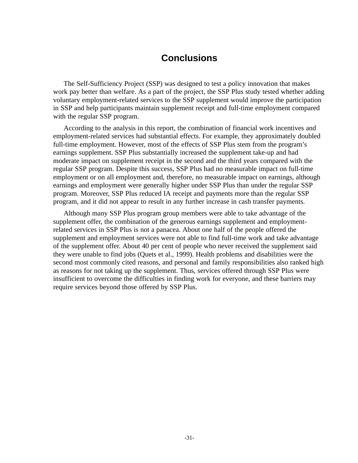# **Conclusions**

The Self-Sufficiency Project (SSP) was designed to test a policy innovation that makes work pay better than welfare. As a part of the project, the SSP Plus study tested whether adding voluntary employment-related services to the SSP supplement would improve the participation in SSP and help participants maintain supplement receipt and full-time employment compared with the regular SSP program.

According to the analysis in this report, the combination of financial work incentives and employment-related services had substantial effects. For example, they approximately doubled full-time employment. However, most of the effects of SSP Plus stem from the program's earnings supplement. SSP Plus substantially increased the supplement take-up and had moderate impact on supplement receipt in the second and the third years compared with the regular SSP program. Despite this success, SSP Plus had no measurable impact on full-time employment or on all employment and, therefore, no measurable impact on earnings, although earnings and employment were generally higher under SSP Plus than under the regular SSP program. Moreover, SSP Plus reduced IA receipt and payments more than the regular SSP program, and it did not appear to result in any further increase in cash transfer payments.

Although many SSP Plus program group members were able to take advantage of the supplement offer, the combination of the generous earnings supplement and employmentrelated services in SSP Plus is not a panacea. About one half of the people offered the supplement and employment services were not able to find full-time work and take advantage of the supplement offer. About 40 per cent of people who never received the supplement said they were unable to find jobs (Quets et al., 1999). Health problems and disabilities were the second most commonly cited reasons, and personal and family responsibilities also ranked high as reasons for not taking up the supplement. Thus, services offered through SSP Plus were insufficient to overcome the difficulties in finding work for everyone, and these barriers may require services beyond those offered by SSP Plus.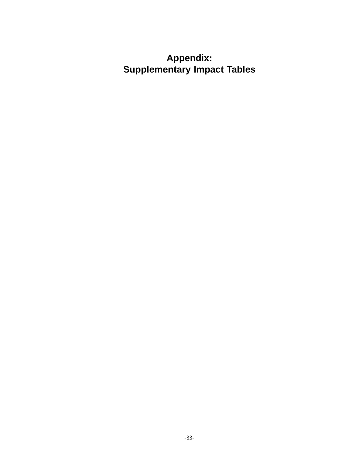# **Appendix: Supplementary Impact Tables**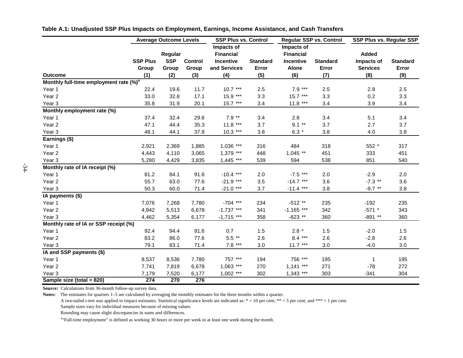|                                                    |                 | <b>Average Outcome Levels</b> |                | <b>SSP Plus vs. Control</b> |                 |                  | Regular SSP vs. Control |                 | SSP Plus vs. Regular SSP |
|----------------------------------------------------|-----------------|-------------------------------|----------------|-----------------------------|-----------------|------------------|-------------------------|-----------------|--------------------------|
|                                                    |                 |                               |                | Impacts of                  |                 | Impacts of       |                         |                 |                          |
|                                                    |                 | Regular                       |                | <b>Financial</b>            |                 | <b>Financial</b> |                         | <b>Added</b>    |                          |
|                                                    | <b>SSP Plus</b> | <b>SSP</b>                    | <b>Control</b> | <b>Incentive</b>            | <b>Standard</b> | Incentive        | <b>Standard</b>         | Impacts of      | <b>Standard</b>          |
|                                                    | Group           | Group                         | Group          | and Services                | Error           | <b>Alone</b>     | Error                   | <b>Services</b> | Error                    |
| <b>Outcome</b>                                     | (1)             | (2)                           | (3)            | (4)                         | (5)             | (6)              | (7)                     | (8)             | (9)                      |
| Monthly full-time employment rate (%) <sup>a</sup> |                 |                               |                |                             |                 |                  |                         |                 |                          |
| Year 1                                             | 22.4            | 19.6                          | 11.7           | $10.7***$                   | 2.5             | $7.9***$         | 2.5                     | 2.8             | 2.5                      |
| Year <sub>2</sub>                                  | 33.0            | 32.8                          | 17.1           | $15.9***$                   | 3.3             | $15.7***$        | 3.3                     | 0.2             | 3.3                      |
| Year <sub>3</sub>                                  | 35.8            | 31.9                          | 20.1           | $15.7***$                   | 3.4             | $11.8***$        | 3.4                     | 3.9             | 3.4                      |
| Monthly employment rate (%)                        |                 |                               |                |                             |                 |                  |                         |                 |                          |
| Year 1                                             | 37.4            | 32.4                          | 29.6           | $7.9**$                     | 3.4             | 2.8              | 3.4                     | 5.1             | 3.4                      |
| Year <sub>2</sub>                                  | 47.1            | 44.4                          | 35.3           | $11.8***$                   | 3.7             | $9.1**$          | 3.7                     | 2.7             | 3.7                      |
| Year <sub>3</sub>                                  | 48.1            | 44.1                          | 37.8           | $10.3***$                   | 3.8             | 6.3 $*$          | 3.8                     | 4.0             | 3.8                      |
| Earnings (\$)                                      |                 |                               |                |                             |                 |                  |                         |                 |                          |
| Year 1                                             | 2,921           | 2,369                         | 1,885          | $1,036$ ***                 | 316             | 484              | 318                     | 552 *           | 317                      |
| Year <sub>2</sub>                                  | 4,443           | 4,110                         | 3,065          | $1,379$ ***                 | 448             | $1,045$ **       | 451                     | 333             | 451                      |
| Year <sub>3</sub>                                  | 5,280           | 4,429                         | 3,835          | $1,445$ ***                 | 539             | 594              | 538                     | 851             | 540                      |
| Monthly rate of IA receipt (%)                     |                 |                               |                |                             |                 |                  |                         |                 |                          |
| Year 1                                             | 81.2            | 84.1                          | 91.6           | $-10.4$ ***                 | 2.0             | $-7.5$ ***       | 2.0                     | $-2.9$          | 2.0                      |
| Year <sub>2</sub>                                  | 55.7            | 63.0                          | 77.6           | $-21.9$ ***                 | 3.5             | $-14.7$ ***      | 3.6                     | $-7.3$ **       | 3.6                      |
| Year <sub>3</sub>                                  | 50.3            | 60.0                          | 71.4           | $-21.0$ ***                 | 3.7             | $-11.4$ ***      | 3.8                     | $-9.7**$        | 3.8                      |
| IA payments (\$)                                   |                 |                               |                |                             |                 |                  |                         |                 |                          |
| Year 1                                             | 7,076           | 7,268                         | 7,780          | $-704$ ***                  | 234             | $-512**$         | 235                     | $-192$          | 235                      |
| Year <sub>2</sub>                                  | 4,942           | 5,513                         | 6,678          | $-1,737$ ***                | 341             | $-1,165$ ***     | 342                     | $-571$ *        | 343                      |
| Year <sub>3</sub>                                  | 4,462           | 5,354                         | 6,177          | $-1,715$ ***                | 358             | $-823**$         | 360                     | $-891**$        | 360                      |
| Monthly rate of IA or SSP receipt (%)              |                 |                               |                |                             |                 |                  |                         |                 |                          |
| Year 1                                             | 92.4            | 94.4                          | 91.6           | 0.7                         | 1.5             | $2.8*$           | 1.5                     | $-2.0$          | 1.5                      |
| Year <sub>2</sub>                                  | 83.2            | 86.0                          | 77.6           | $5.5**$                     | 2.6             | $8.4***$         | 2.6                     | $-2.8$          | 2.6                      |
| Year <sub>3</sub>                                  | 79.1            | 83.1                          | 71.4           | $7.8***$                    | 3.0             | $11.7***$        | 3.0                     | $-4.0$          | 3.0                      |
| IA and SSP payments (\$)                           |                 |                               |                |                             |                 |                  |                         |                 |                          |
| Year 1                                             | 8,537           | 8,536                         | 7,780          | 757 ***                     | 194             | 756 ***          | 195                     | 1               | 195                      |
| Year <sub>2</sub>                                  | 7,741           | 7,819                         | 6,678          | $1,063$ ***                 | 270             | $1,141$ ***      | 271                     | $-78$           | 272                      |
| Year <sub>3</sub>                                  | 7,179           | 7,520                         | 6,177          | $1,002$ ***                 | 302             | $1,343$ ***      | 303                     | $-341$          | 304                      |
| Sample size (total = 820)                          | 274             | 270                           | 276            |                             |                 |                  |                         |                 |                          |

**Table A.1: Unadjusted SSP Plus Impacts on Employment, Earnings, Income Assistance, and Cash Transfers**

**Source:** Calculations from 36-month follow-up survey data.

**Notes:** The estimates for quarters 1–5 are calculated by averaging the monthly estimates for the three months within a quarter.

A two-tailed t-test was applied to impact estimates. Statistical significance levels are indicated as:  $* = 10$  per cent;  $** = 5$  per cent; and  $*** = 1$  per cent.

Sample sizes vary for individual measures because of missing values.

Rounding may cause slight discrepancies in sums and differences.

<sup>a</sup>"Full-time employment" is defined as working 30 hours or more per week in at least one week during the month.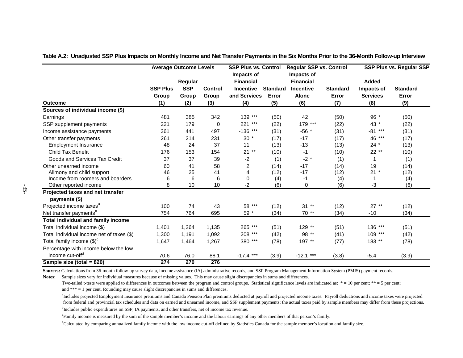|                                           | <b>Average Outcome Levels</b> |                     | <b>SSP Plus vs. Control</b> |                                  | <b>Regular SSP vs. Control</b> |                                  | SSP Plus vs. Regular SSP |                               |                          |
|-------------------------------------------|-------------------------------|---------------------|-----------------------------|----------------------------------|--------------------------------|----------------------------------|--------------------------|-------------------------------|--------------------------|
|                                           |                               | Regular             |                             | Impacts of<br><b>Financial</b>   |                                | Impacts of<br><b>Financial</b>   |                          | Added                         |                          |
|                                           | <b>SSP Plus</b><br>Group      | <b>SSP</b><br>Group | <b>Control</b><br>Group     | <b>Incentive</b><br>and Services | <b>Standard</b><br>Error       | <b>Incentive</b><br><b>Alone</b> | <b>Standard</b><br>Error | Impacts of<br><b>Services</b> | <b>Standard</b><br>Error |
| <b>Outcome</b>                            | (1)                           | (2)                 | (3)                         | (4)                              | (5)                            | (6)                              | (7)                      | (8)                           | (9)                      |
| Sources of individual income (\$)         |                               |                     |                             |                                  |                                |                                  |                          |                               |                          |
| Earnings                                  | 481                           | 385                 | 342                         | 139 ***                          | (50)                           | 42                               | (50)                     | 96 *                          | (50)                     |
| SSP supplement payments                   | 221                           | 179                 | $\Omega$                    | 221<br>***                       | (22)                           | 179 ***                          | (22)                     | 43 *                          | (22)                     |
| Income assistance payments                | 361                           | 441                 | 497                         | $-136$ ***                       | (31)                           | $-56$ *                          | (31)                     | $***$<br>$-81$                | (31)                     |
| Other transfer payments                   | 261                           | 214                 | 231                         | $30*$                            | (17)                           | $-17$                            | (17)                     | 46 ***                        | (17)                     |
| <b>Employment Insurance</b>               | 48                            | 24                  | 37                          | 11                               | (13)                           | $-13$                            | (13)                     | $24 *$                        | (13)                     |
| Child Tax Benefit                         | 176                           | 153                 | 154                         | $21**$                           | (10)                           | -1                               | (10)                     | 22 **                         | (10)                     |
| Goods and Services Tax Credit             | 37                            | 37                  | 39                          | -2                               | (1)                            | $-2$ *                           | (1)                      |                               | (1)                      |
| Other unearned income                     | 60                            | 41                  | 58                          | 2                                | (14)                           | $-17$                            | (14)                     | 19                            | (14)                     |
| Alimony and child support                 | 46                            | 25                  | 41                          | 4                                | (12)                           | $-17$                            | (12)                     | $21 *$                        | (12)                     |
| Income from roomers and boarders          | 6                             | 6                   | 6                           | 0                                | (4)                            | -1                               | (4)                      |                               | (4)                      |
| Other reported income                     | 8                             | 10                  | 10                          | -2                               | (6)                            | 0                                | (6)                      | -3                            | (6)                      |
| Projected taxes and net transfer          |                               |                     |                             |                                  |                                |                                  |                          |                               |                          |
| payments (\$)                             |                               |                     |                             |                                  |                                |                                  |                          |                               |                          |
| Projected income taxes <sup>a</sup>       | 100                           | 74                  | 43                          | 58 ***                           | (12)                           | $31**$                           | (12)                     | $27**$                        | (12)                     |
| Net transfer payments <sup>b</sup>        | 754                           | 764                 | 695                         | 59 *                             | (34)                           | 70 **                            | (34)                     | $-10$                         | (34)                     |
| <b>Total individual and family income</b> |                               |                     |                             |                                  |                                |                                  |                          |                               |                          |
| Total individual income (\$)              | 1,401                         | 1,264               | 1,135                       | 265 ***                          | (51)                           | 129 **                           | (51)                     | 136 ***                       | (51)                     |
| Total individual income net of taxes (\$) | 1,300                         | 1,191               | 1,092                       | 208 ***                          | (42)                           | 98 **                            | (41)                     | $109***$                      | (42)                     |
| Total family income $(\text{$\$})^c$      | 1,647                         | 1,464               | 1,267                       | 380 ***                          | (78)                           | 197 **                           | (77)                     | 183 **                        | (78)                     |
| Percentage with income below the low      |                               |                     |                             |                                  |                                |                                  |                          |                               |                          |
| income cut-off <sup>d</sup>               | 70.6                          | 76.0                | 88.1                        | $-17.4$ ***                      | (3.9)                          | $-12.1$ ***                      | (3.8)                    | $-5.4$                        | (3.9)                    |
| Sample size (total = 820)                 | 274                           | 270                 | 276                         |                                  |                                |                                  |                          |                               |                          |

**Table A.2: Unadjusted SSP Plus Impacts on Monthly Income and Net Transfer Payments in the Six Months Prior to the 36-Month Follow-up Interview**

**Sources:** Calculations from 36-month follow-up survey data, income assistance (IA) administrative records, and SSP Program Management Information System (PMIS) payment records.

**Notes:** Sample sizes vary for individual measures because of missing values. This may cause slight discrepancies in sums and differences.

Two-tailed t-tests were applied to differences in outcomes between the program and control groups. Statistical significance levels are indicated as: \* = 10 per cent; \*\* = 5 per cent; and \*\*\* = 1 per cent. Rounding may cause slight discrepancies in sums and differences.

<sup>a</sup>Includes projected Employment Insurance premiums and Canada Pension Plan premiums deducted at payroll and projected income taxes. Payroll deductions and income taxes were projected from federal and provincial tax schedules and data on earned and unearned income, and SSP supplement payments; the actual taxes paid by sample members may differ from these projections.

<sup>b</sup>Includes public expenditures on SSP, IA payments, and other transfers, net of income tax revenue.

cFamily income is measured by the sum of the sample member's income and the labour earnings of any other members of that person's family.

<sup>d</sup>Calculated by comparing annualized family income with the low income cut-off defined by Statistics Canada for the sample member's location and family size.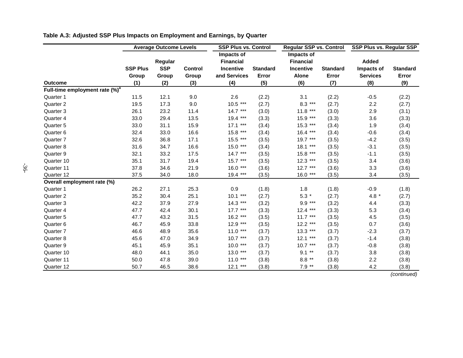|                                            |                 | <b>Average Outcome Levels</b> |                | <b>SSP Plus vs. Control</b> |                 | <b>Regular SSP vs. Control</b> |                 | <b>SSP Plus vs. Regular SSP</b> |                 |  |
|--------------------------------------------|-----------------|-------------------------------|----------------|-----------------------------|-----------------|--------------------------------|-----------------|---------------------------------|-----------------|--|
|                                            |                 |                               |                | Impacts of                  |                 | Impacts of                     |                 |                                 |                 |  |
|                                            |                 | Regular                       |                | <b>Financial</b>            |                 | <b>Financial</b>               |                 | Added                           |                 |  |
|                                            | <b>SSP Plus</b> | <b>SSP</b>                    | <b>Control</b> | <b>Incentive</b>            | <b>Standard</b> | <b>Incentive</b>               | <b>Standard</b> | Impacts of                      | <b>Standard</b> |  |
|                                            | Group           | Group                         | Group          | and Services                | Error           | <b>Alone</b>                   | Error           | <b>Services</b>                 | Error           |  |
| <b>Outcome</b>                             | (1)             | (2)                           | (3)            | (4)                         | (5)             | (6)                            | (7)             | (8)                             | (9)             |  |
| Full-time employment rate (%) <sup>a</sup> |                 |                               |                |                             |                 |                                |                 |                                 |                 |  |
| Quarter 1                                  | 11.5            | 12.1                          | 9.0            | 2.6                         | (2.2)           | 3.1                            | (2.2)           | $-0.5$                          | (2.2)           |  |
| Quarter 2                                  | 19.5            | 17.3                          | 9.0            | $10.5***$                   | (2.7)           | $8.3***$                       | (2.7)           | 2.2                             | (2.7)           |  |
| Quarter 3                                  | 26.1            | 23.2                          | 11.4           | $14.7***$                   | (3.0)           | $11.8***$                      | (3.0)           | 2.9                             | (3.1)           |  |
| Quarter 4                                  | 33.0            | 29.4                          | 13.5           | 19.4 ***                    | (3.3)           | 15.9 ***                       | (3.3)           | 3.6                             | (3.3)           |  |
| Quarter 5                                  | 33.0            | 31.1                          | 15.9           | $17.1***$                   | (3.4)           | $15.3***$                      | (3.4)           | 1.9                             | (3.4)           |  |
| Quarter 6                                  | 32.4            | 33.0                          | 16.6           | 15.8 ***                    | (3.4)           | $16.4***$                      | (3.4)           | $-0.6$                          | (3.4)           |  |
| Quarter 7                                  | 32.6            | 36.8                          | 17.1           | 15.5 ***                    | (3.5)           | 19.7 ***                       | (3.5)           | $-4.2$                          | (3.5)           |  |
| Quarter 8                                  | 31.6            | 34.7                          | 16.6           | $15.0***$                   | (3.4)           | $18.1***$                      | (3.5)           | $-3.1$                          | (3.5)           |  |
| Quarter 9                                  | 32.1            | 33.2                          | 17.5           | $14.7***$                   | (3.5)           | 15.8 ***                       | (3.5)           | $-1.1$                          | (3.5)           |  |
| Quarter 10                                 | 35.1            | 31.7                          | 19.4           | $15.7***$                   | (3.5)           | $12.3***$                      | (3.5)           | 3.4                             | (3.6)           |  |
| Quarter 11                                 | 37.8            | 34.6                          | 21.9           | $16.0***$                   | (3.6)           | $12.7***$                      | (3.6)           | 3.3                             | (3.6)           |  |
| Quarter 12                                 | 37.5            | 34.0                          | 18.0           | $19.4***$                   | (3.5)           | $16.0***$                      | (3.5)           | 3.4                             | (3.5)           |  |
| Overall employment rate (%)                |                 |                               |                |                             |                 |                                |                 |                                 |                 |  |
| Quarter 1                                  | 26.2            | 27.1                          | 25.3           | 0.9                         | (1.8)           | 1.8                            | (1.8)           | $-0.9$                          | (1.8)           |  |
| Quarter 2                                  | 35.2            | 30.4                          | 25.1           | $10.1***$                   | (2.7)           | $5.3*$                         | (2.7)           | 4.8 $*$                         | (2.7)           |  |
| Quarter 3                                  | 42.2            | 37.9                          | 27.9           | $14.3***$                   | (3.2)           | $9.9***$                       | (3.2)           | 4.4                             | (3.3)           |  |
| Quarter 4                                  | 47.7            | 42.4                          | 30.1           | $17.7***$                   | (3.3)           | $12.4***$                      | (3.3)           | 5.3                             | (3.4)           |  |
| Quarter 5                                  | 47.7            | 43.2                          | 31.5           | $16.2***$                   | (3.5)           | $11.7***$                      | (3.5)           | 4.5                             | (3.5)           |  |
| Quarter 6                                  | 46.7            | 45.9                          | 33.8           | $12.9***$                   | (3.5)           | $12.2***$                      | (3.5)           | 0.7                             | (3.6)           |  |
| Quarter 7                                  | 46.6            | 48.9                          | 35.6           | $11.0***$                   | (3.7)           | $13.3***$                      | (3.7)           | $-2.3$                          | (3.7)           |  |
| Quarter 8                                  | 45.6            | 47.0                          | 34.9           | $10.7***$                   | (3.7)           | $12.1***$                      | (3.7)           | $-1.4$                          | (3.8)           |  |
| Quarter 9                                  | 45.1            | 45.9                          | 35.1           | $10.0***$                   | (3.7)           | $10.7***$                      | (3.7)           | $-0.8$                          | (3.8)           |  |
| Quarter 10                                 | 48.0            | 44.1                          | 35.0           | $13.0***$                   | (3.7)           | $9.1**$                        | (3.7)           | 3.8                             | (3.8)           |  |
| Quarter 11                                 | 50.0            | 47.8                          | 39.0           | $11.0***$                   | (3.8)           | $8.8***$                       | (3.8)           | 2.2                             | (3.8)           |  |
| Quarter 12                                 | 50.7            | 46.5                          | 38.6           | $12.1***$                   | (3.8)           | $7.9**$                        | (3.8)           | 4.2                             | (3.8)           |  |

**Table A.3: Adjusted SSP Plus Impacts on Employment and Earnings, by Quarter**

(continued)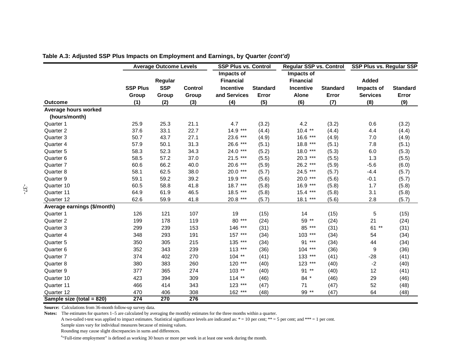|                             | <b>Average Outcome Levels</b> |            |                | <b>SSP Plus vs. Control</b> |                 | Regular SSP vs. Control |                 | <b>SSP Plus vs. Regular SSP</b> |                 |
|-----------------------------|-------------------------------|------------|----------------|-----------------------------|-----------------|-------------------------|-----------------|---------------------------------|-----------------|
|                             |                               |            |                | Impacts of                  |                 | Impacts of              |                 |                                 |                 |
|                             |                               | Regular    |                | <b>Financial</b>            |                 | <b>Financial</b>        |                 | Added                           |                 |
|                             | <b>SSP Plus</b>               | <b>SSP</b> | <b>Control</b> | Incentive                   | <b>Standard</b> | Incentive               | <b>Standard</b> | Impacts of                      | <b>Standard</b> |
|                             | Group                         | Group      | Group          | and Services                | Error           | <b>Alone</b>            | Error           | <b>Services</b>                 | Error           |
| <b>Outcome</b>              | (1)                           | (2)        | (3)            | (4)                         | (5)             | (6)                     | (7)             | (8)                             | (9)             |
| Average hours worked        |                               |            |                |                             |                 |                         |                 |                                 |                 |
| (hours/month)               |                               |            |                |                             |                 |                         |                 |                                 |                 |
| Quarter 1                   | 25.9                          | 25.3       | 21.1           | 4.7                         | (3.2)           | 4.2                     | (3.2)           | 0.6                             | (3.2)           |
| Quarter 2                   | 37.6                          | 33.1       | 22.7           | $14.9***$                   | (4.4)           | $10.4$ **               | (4.4)           | 4.4                             | (4.4)           |
| Quarter 3                   | 50.7                          | 43.7       | 27.1           | 23.6 ***                    | (4.9)           | 16.6 ***                | (4.9)           | 7.0                             | (4.9)           |
| Quarter 4                   | 57.9                          | 50.1       | 31.3           | 26.6 ***                    | (5.1)           | 18.8 ***                | (5.1)           | 7.8                             | (5.1)           |
| Quarter 5                   | 58.3                          | 52.3       | 34.3           | 24.0 ***                    | (5.2)           | 18.0 ***                | (5.3)           | 6.0                             | (5.3)           |
| Quarter 6                   | 58.5                          | 57.2       | 37.0           | $21.5***$                   | (5.5)           | 20.3 ***                | (5.5)           | 1.3                             | (5.5)           |
| Quarter 7                   | 60.6                          | 66.2       | 40.0           | 20.6 ***                    | (5.9)           | 26.2 ***                | (5.9)           | $-5.6$                          | (6.0)           |
| Quarter 8                   | 58.1                          | 62.5       | 38.0           | 20.0 ***                    | (5.7)           | 24.5 ***                | (5.7)           | $-4.4$                          | (5.7)           |
| Quarter 9                   | 59.1                          | 59.2       | 39.2           | 19.9 ***                    | (5.6)           | $20.0***$               | (5.6)           | $-0.1$                          | (5.7)           |
| Quarter 10                  | 60.5                          | 58.8       | 41.8           | $18.7***$                   | (5.8)           | 16.9 ***                | (5.8)           | 1.7                             | (5.8)           |
| Quarter 11                  | 64.9                          | 61.9       | 46.5           | $18.5***$                   | (5.8)           | $15.4***$               | (5.8)           | 3.1                             | (5.8)           |
| Quarter 12                  | 62.6                          | 59.9       | 41.8           | 20.8 ***                    | (5.7)           | 18.1 ***                | (5.6)           | 2.8                             | (5.7)           |
| Average earnings (\$/month) |                               |            |                |                             |                 |                         |                 |                                 |                 |
| Quarter 1                   | 126                           | 121        | 107            | 19                          | (15)            | 14                      | (15)            | 5                               | (15)            |
| Quarter 2                   | 199                           | 178        | 119            | 80 ***                      | (24)            | 59 **                   | (24)            | 21                              | (24)            |
| Quarter 3                   | 299                           | 239        | 153            | 146 ***                     | (31)            | 85 ***                  | (31)            | $61**$                          | (31)            |
| Quarter 4                   | 348                           | 293        | 191            | 157 ***                     | (34)            | $103***$                | (34)            | 54                              | (34)            |
| Quarter 5                   | 350                           | 305        | 215            | 135 ***                     | (34)            | 91 ***                  | (34)            | 44                              | (34)            |
| Quarter 6                   | 352                           | 343        | 239            | $113***$                    | (36)            | $104$ ***               | (36)            | 9                               | (36)            |
| Quarter 7                   | 374                           | 402        | 270            | $104$ **                    | (41)            | 133 ***                 | (41)            | $-28$                           | (41)            |
| Quarter 8                   | 380                           | 383        | 260            | $120$ ***                   | (40)            | 123 ***                 | (40)            | $-2$                            | (40)            |
| Quarter 9                   | 377                           | 365        | 274            | $103**$                     | (40)            | $91**$                  | (40)            | 12                              | (41)            |
| Quarter 10                  | 423                           | 394        | 309            | $114**$                     | (46)            | 84 *                    | (46)            | 29                              | (46)            |
| Quarter 11                  | 466                           | 414        | 343            | $123$ ***                   | (47)            | 71                      | (47)            | 52                              | (48)            |
| Quarter 12                  | 470                           | 406        | 308            | 162 ***                     | (48)            | 99 **                   | (47)            | 64                              | (48)            |
| Sample size (total = 820)   | $\overline{274}$              | 270        | 276            |                             |                 |                         |                 |                                 |                 |

**Table A.3: Adjusted SSP Plus Impacts on Employment and Earnings, by Quarter (cont'd)**

**Source:** Calculations from 36-month follow-up survey data.

**Notes:** The estimates for quarters 1–5 are calculated by averaging the monthly estimates for the three months within a quarter.

A two-tailed t-test was applied to impact estimates. Statistical significance levels are indicated as:  $* = 10$  per cent;  $** = 5$  per cent; and \*\*\* = 1 per cent. Sample sizes vary for individual measures because of missing values.

Rounding may cause slight discrepancies in sums and differences.

a"Full-time employment" is defined as working 30 hours or more per week in at least one week during the month.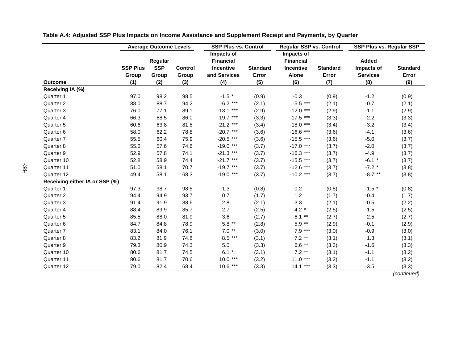|                                |                 | <b>Average Outcome Levels</b> |                | <b>SSP Plus vs. Control</b> |                 | <b>Regular SSP vs. Control</b> |                 | <b>SSP Plus vs. Regular SSP</b> |                 |
|--------------------------------|-----------------|-------------------------------|----------------|-----------------------------|-----------------|--------------------------------|-----------------|---------------------------------|-----------------|
|                                |                 |                               |                | Impacts of                  |                 | Impacts of                     |                 |                                 |                 |
|                                |                 | Regular                       |                | <b>Financial</b>            |                 | <b>Financial</b>               |                 | <b>Added</b>                    |                 |
|                                | <b>SSP Plus</b> | <b>SSP</b>                    | <b>Control</b> | <b>Incentive</b>            | <b>Standard</b> | Incentive                      | <b>Standard</b> | Impacts of                      | <b>Standard</b> |
|                                | Group           | Group                         | Group          | and Services                | Error           | <b>Alone</b>                   | Error           | <b>Services</b>                 | Error           |
| <b>Outcome</b>                 | (1)             | (2)                           | (3)            | (4)                         | (5)             | (6)                            | (7)             | (8)                             | (9)             |
| Receiving IA (%)               |                 |                               |                |                             |                 |                                |                 |                                 |                 |
| Quarter 1                      | 97.0            | 98.2                          | 98.5           | $-1.5$ *                    | (0.9)           | $-0.3$                         | (0.9)           | $-1.2$                          | (0.9)           |
| Quarter 2                      | 88.0            | 88.7                          | 94.2           | $-6.2$ ***                  | (2.1)           | $-5.5***$                      | (2.1)           | $-0.7$                          | (2.1)           |
| Quarter 3                      | 76.0            | 77.1                          | 89.1           | $-13.1***$                  | (2.9)           | $-12.0$ ***                    | (2.9)           | $-1.1$                          | (2.9)           |
| Quarter 4                      | 66.3            | 68.5                          | 86.0           | $-19.7$ ***                 | (3.3)           | $-17.5$ ***                    | (3.3)           | $-2.2$                          | (3.3)           |
| Quarter 5                      | 60.6            | 63.8                          | 81.8           | $-21.2$ ***                 | (3.4)           | $-18.0$ ***                    | (3.4)           | $-3.2$                          | (3.4)           |
| Quarter 6                      | 58.0            | 62.2                          | 78.8           | $-20.7***$                  | (3.6)           | $-16.6$ ***                    | (3.6)           | $-4.1$                          | (3.6)           |
| Quarter 7                      | 55.5            | 60.4                          | 75.9           | $-20.5$ ***                 | (3.6)           | $-15.5$ ***                    | (3.6)           | $-5.0$                          | (3.7)           |
| Quarter 8                      | 55.6            | 57.6                          | 74.6           | $-19.0$ ***                 | (3.7)           | $-17.0$ ***                    | (3.7)           | $-2.0$                          | (3.7)           |
| Quarter 9                      | 52.9            | 57.8                          | 74.1           | $-21.3$ ***                 | (3.7)           | $-16.3$ ***                    | (3.7)           | $-4.9$                          | (3.7)           |
| Quarter 10                     | 52.8            | 58.9                          | 74.4           | $-21.7***$                  | (3.7)           | $-15.5$ ***                    | (3.7)           | $-6.1$ *                        | (3.7)           |
| Quarter 11                     | 51.0            | 58.1                          | 70.7           | $-19.7***$                  | (3.7)           | $-12.6$ ***                    | (3.7)           | $-7.2$ *                        | (3.8)           |
| Quarter 12                     | 49.4            | 58.1                          | 68.3           | $-19.0$ ***                 | (3.7)           | $-10.2$ ***                    | (3.7)           | $-8.7$ **                       | (3.8)           |
| Receiving either IA or SSP (%) |                 |                               |                |                             |                 |                                |                 |                                 |                 |
| Quarter 1                      | 97.3            | 98.7                          | 98.5           | $-1.3$                      | (0.8)           | 0.2                            | (0.8)           | $-1.5$ *                        | (0.8)           |
| Quarter 2                      | 94.4            | 94.9                          | 93.7           | 0.7                         | (1.7)           | 1.2                            | (1.7)           | $-0.4$                          | (1.7)           |
| Quarter 3                      | 91.4            | 91.9                          | 88.6           | 2.8                         | (2.1)           | $3.3\,$                        | (2.1)           | $-0.5$                          | (2.2)           |
| Quarter 4                      | 88.4            | 89.9                          | 85.7           | 2.7                         | (2.5)           | 4.2 $*$                        | (2.5)           | $-1.5$                          | (2.5)           |
| Quarter 5                      | 85.5            | 88.0                          | 81.9           | 3.6                         | (2.7)           | $6.1**$                        | (2.7)           | $-2.5$                          | (2.7)           |
| Quarter 6                      | 84.7            | 84.8                          | 78.9           | $5.8**$                     | (2.8)           | $5.9**$                        | (2.9)           | $-0.1$                          | (2.9)           |
| Quarter 7                      | 83.1            | 84.0                          | 76.1           | $7.0**$                     | (3.0)           | $7.9***$                       | (3.0)           | $-0.9$                          | (3.0)           |
| Quarter 8                      | 83.2            | 81.9                          | 74.8           | $8.5***$                    | (3.1)           | $7.2**$                        | (3.1)           | 1.3                             | (3.1)           |
| Quarter 9                      | 79.3            | 80.9                          | 74.3           | $5.0\,$                     | (3.3)           | $6.6**$                        | (3.3)           | $-1.6$                          | (3.3)           |
| Quarter 10                     | 80.6            | 81.7                          | 74.5           | $6.1 *$                     | (3.1)           | $7.2**$                        | (3.1)           | $-1.1$                          | (3.2)           |
| Quarter 11                     | 80.6            | 81.7                          | 70.6           | $10.0***$                   | (3.2)           | $11.0***$                      | (3.2)           | $-1.1$                          | (3.2)           |
| Quarter 12                     | 79.0            | 82.4                          | 68.4           | $10.6***$                   | (3.3)           | $14.1***$                      | (3.3)           | $-3.5$                          | (3.3)           |

**Table A.4: Adjusted SSP Plus Impacts on Income Assistance and Supplement Receipt and Payments, by Quarter**

(continued)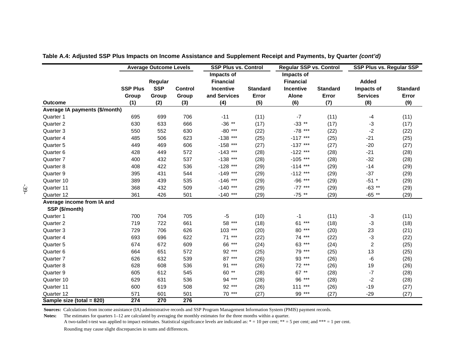|                                | <b>Average Outcome Levels</b> |            |                | <b>SSP Plus vs. Control</b> |                 | <b>Regular SSP vs. Control</b> |                 | SSP Plus vs. Regular SSP |                 |
|--------------------------------|-------------------------------|------------|----------------|-----------------------------|-----------------|--------------------------------|-----------------|--------------------------|-----------------|
|                                |                               |            |                | Impacts of                  |                 | Impacts of                     |                 |                          |                 |
|                                |                               | Regular    |                | <b>Financial</b>            |                 | <b>Financial</b>               |                 | Added                    |                 |
|                                | <b>SSP Plus</b>               | <b>SSP</b> | <b>Control</b> | <b>Incentive</b>            | <b>Standard</b> | Incentive                      | <b>Standard</b> | Impacts of               | <b>Standard</b> |
|                                | Group                         | Group      | Group          | and Services                | Error           | Alone                          | Error           | <b>Services</b>          | Error           |
| <b>Outcome</b>                 | (1)                           | (2)        | (3)            | (4)                         | (5)             | (6)                            | (7)             | (8)                      | (9)             |
| Average IA payments (\$/month) |                               |            |                |                             |                 |                                |                 |                          |                 |
| Quarter 1                      | 695                           | 699        | 706            | $-11$                       | (11)            | $-7$                           | (11)            | $-4$                     | (11)            |
| Quarter 2                      | 630                           | 633        | 666            | $-36$ **                    | (17)            | $-33$ **                       | (17)            | $-3$                     | (17)            |
| Quarter 3                      | 550                           | 552        | 630            | $-80$ ***                   | (22)            | $-78$ ***                      | (22)            | $-2$                     | (22)            |
| Quarter 4                      | 485                           | 506        | 623            | $-138$ ***                  | (25)            | $-117$ ***                     | (25)            | -21                      | (25)            |
| Quarter 5                      | 449                           | 469        | 606            | $-158$ ***                  | (27)            | $-137$ ***                     | (27)            | $-20$                    | (27)            |
| Quarter 6                      | 428                           | 449        | 572            | $-143$ ***                  | (28)            | $-122$ ***                     | (28)            | $-21$                    | (28)            |
| Quarter 7                      | 400                           | 432        | 537            | $-138$ ***                  | (28)            | $-105$ ***                     | (28)            | $-32$                    | (28)            |
| Quarter 8                      | 408                           | 422        | 536            | $-128$ ***                  | (29)            | $-114$ ***                     | (29)            | $-14$                    | (29)            |
| Quarter 9                      | 395                           | 431        | 544            | $-149$ ***                  | (29)            | $-112$ ***                     | (29)            | $-37$                    | (29)            |
| Quarter 10                     | 389                           | 439        | 535            | $-146$ ***                  | (29)            | $-96$ ***                      | (29)            | $-51$ *                  | (29)            |
| Quarter 11                     | 368                           | 432        | 509            | $-140$ ***                  | (29)            | $-77$ ***                      | (29)            | $-63$ **                 | (29)            |
| Quarter 12                     | 361                           | 426        | 501            | $-140$ ***                  | (29)            | $-75$ **                       | (29)            | $-65$ **                 | (29)            |
| Average income from IA and     |                               |            |                |                             |                 |                                |                 |                          |                 |
| SSP (\$/month)                 |                               |            |                |                             |                 |                                |                 |                          |                 |
| Quarter 1                      | 700                           | 704        | 705            | $-5$                        | (10)            | -1                             | (11)            | $-3$                     | (11)            |
| Quarter 2                      | 719                           | 722        | 661            | 58 ***                      | (18)            | ***<br>61                      | (18)            | $-3$                     | (18)            |
| Quarter 3                      | 729                           | 706        | 626            | $103***$                    | (20)            | 80 ***                         | (20)            | 23                       | (21)            |
| Quarter 4                      | 693                           | 696        | 622            | 71 ***                      | (22)            | 74 ***                         | (22)            | $-3$                     | (22)            |
| Quarter 5                      | 674                           | 672        | 609            | 66 ***                      | (24)            | 63 ***                         | (24)            | $\boldsymbol{2}$         | (25)            |
| Quarter 6                      | 664                           | 651        | 572            | 92 ***                      | (25)            | 79 ***                         | (25)            | 13                       | (25)            |
| Quarter 7                      | 626                           | 632        | 539            | 87 ***                      | (26)            | 93 ***                         | (26)            | -6                       | (26)            |
| Quarter 8                      | 628                           | 608        | 536            | 91 ***                      | (26)            | 72 ***                         | (26)            | 19                       | (26)            |
| Quarter 9                      | 605                           | 612        | 545            | 60 **                       | (28)            | 67 **                          | (28)            | $-7$                     | (28)            |
| Quarter 10                     | 629                           | 631        | 536            | 94 ***                      | (28)            | 96 ***                         | (28)            | $-2$                     | (28)            |
| Quarter 11                     | 600                           | 619        | 508            | 92 ***                      | (26)            | 111<br>***                     | (26)            | $-19$                    | (27)            |
| Quarter 12                     | 571                           | 601        | 501            | 70 ***                      | (27)            | 99 ***                         | (27)            | $-29$                    | (27)            |
| Sample size (total = 820)      | 274                           | 270        | 276            |                             |                 |                                |                 |                          |                 |

**Table A.4: Adjusted SSP Plus Impacts on Income Assistance and Supplement Receipt and Payments, by Quarter (cont'd)**

**Sources:** Calculations from income assistance (IA) administrative records and SSP Program Management Information System (PMIS) payment records.

Notes: The estimates for quarters  $1-12$  are calculated by averaging the monthly estimates for the three months within a quarter.

A two-tailed t-test was applied to impact estimates. Statistical significance levels are indicated as: \* = 10 per cent; \*\* = 5 per cent; and \*\*\* = 1 per cent.

Rounding may cause slight discrepancies in sums and differences.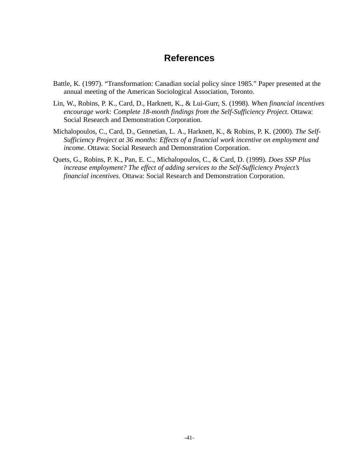## **References**

- Battle, K. (1997). "Transformation: Canadian social policy since 1985." Paper presented at the annual meeting of the American Sociological Association, Toronto.
- Lin, W., Robins, P. K., Card, D., Harknett, K., & Lui-Gurr, S. (1998). *When financial incentives encourage work: Complete 18-month findings from the Self-Sufficiency Project*. Ottawa: Social Research and Demonstration Corporation.
- Michalopoulos, C., Card, D., Gennetian, L. A., Harknett, K., & Robins, P. K. (2000). *The Self-Sufficiency Project at 36 months: Effects of a financial work incentive on employment and income*. Ottawa: Social Research and Demonstration Corporation.
- Quets, G., Robins, P. K., Pan, E. C., Michalopoulos, C., & Card, D. (1999). *Does SSP Plus increase employment? The effect of adding services to the Self-Sufficiency Project's financial incentives*. Ottawa: Social Research and Demonstration Corporation.